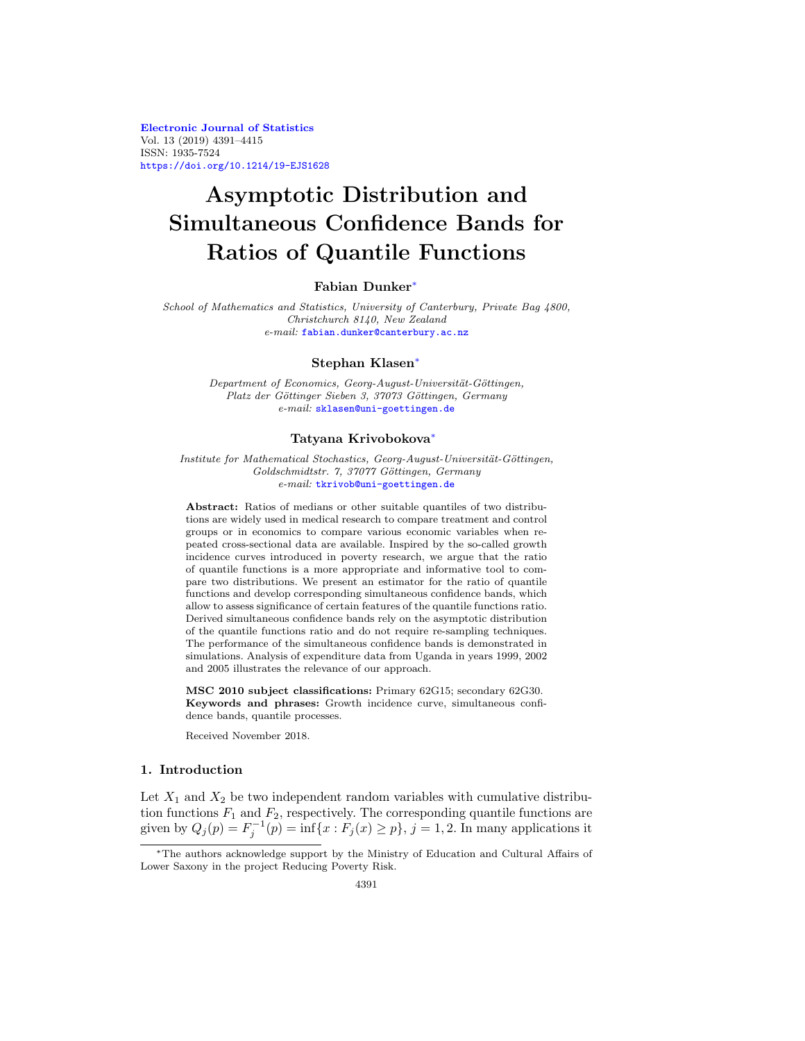**[Electronic Journal of Statistics](http://projecteuclid.org/ejs)** Vol. 13 (2019) 4391–4415 ISSN: 1935-7524 <https://doi.org/10.1214/19-EJS1628>

# **Asymptotic Distribution and Simultaneous Confidence Bands for Ratios of Quantile Functions**

### **Fabian Dunker**[∗](#page-0-0)

School of Mathematics and Statistics, University of Canterbury, Private Bag 4800, Christchurch 8140, New Zealand e-mail: [fabian.dunker@canterbury.ac.nz](mailto:fabian.dunker@canterbury.ac.nz)

#### **Stephan Klasen**[∗](#page-0-0)

Department of Economics, Georg-August-Universität-Göttingen, Platz der Göttinger Sieben 3, 37073 Göttingen, Germany e-mail: [sklasen@uni-goettingen.de](mailto:sklasen@uni-goettingen.de)

#### **Tatyana Krivobokova**[∗](#page-0-0)

Institute for Mathematical Stochastics, Georg-August-Universität-Göttingen, Goldschmidtstr. 7, 37077 Göttingen, Germany e-mail: [tkrivob@uni-goettingen.de](mailto:tkrivob@uni-goettingen.de)

**Abstract:** Ratios of medians or other suitable quantiles of two distributions are widely used in medical research to compare treatment and control groups or in economics to compare various economic variables when repeated cross-sectional data are available. Inspired by the so-called growth incidence curves introduced in poverty research, we argue that the ratio of quantile functions is a more appropriate and informative tool to compare two distributions. We present an estimator for the ratio of quantile functions and develop corresponding simultaneous confidence bands, which allow to assess significance of certain features of the quantile functions ratio. Derived simultaneous confidence bands rely on the asymptotic distribution of the quantile functions ratio and do not require re-sampling techniques. The performance of the simultaneous confidence bands is demonstrated in simulations. Analysis of expenditure data from Uganda in years 1999, 2002 and 2005 illustrates the relevance of our approach.

**MSC 2010 subject classifications:** Primary 62G15; secondary 62G30. **Keywords and phrases:** Growth incidence curve, simultaneous confidence bands, quantile processes.

Received November 2018.

## **1. Introduction**

Let  $X_1$  and  $X_2$  be two independent random variables with cumulative distribution functions  $F_1$  and  $F_2$ , respectively. The corresponding quantile functions are given by  $Q_j(p) = F_j^{-1}(p) = \inf\{x : F_j(x) \ge p\}, j = 1, 2$ . In many applications it

<span id="page-0-0"></span><sup>∗</sup>The authors acknowledge support by the Ministry of Education and Cultural Affairs of Lower Saxony in the project Reducing Poverty Risk.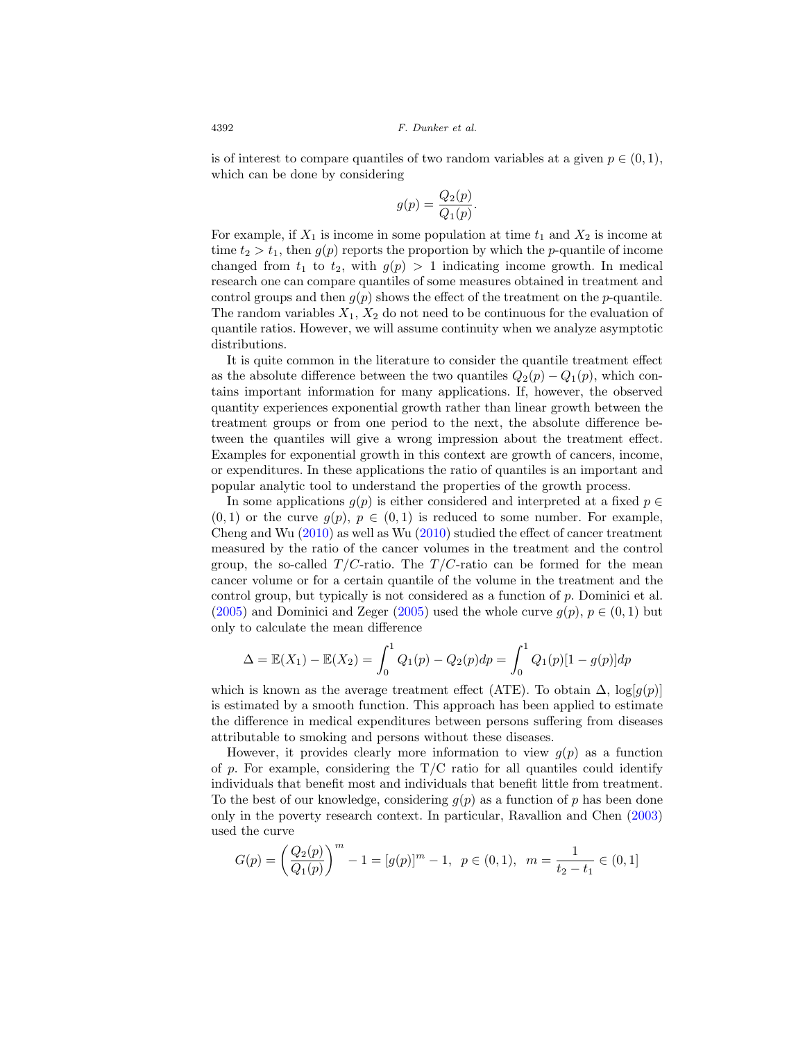is of interest to compare quantiles of two random variables at a given  $p \in (0,1)$ , which can be done by considering

$$
g(p) = \frac{Q_2(p)}{Q_1(p)}.
$$

For example, if  $X_1$  is income in some population at time  $t_1$  and  $X_2$  is income at time  $t_2 > t_1$ , then  $g(p)$  reports the proportion by which the *p*-quantile of income changed from  $t_1$  to  $t_2$ , with  $g(p) > 1$  indicating income growth. In medical research one can compare quantiles of some measures obtained in treatment and control groups and then  $g(p)$  shows the effect of the treatment on the p-quantile. The random variables  $X_1, X_2$  do not need to be continuous for the evaluation of quantile ratios. However, we will assume continuity when we analyze asymptotic distributions.

It is quite common in the literature to consider the quantile treatment effect as the absolute difference between the two quantiles  $Q_2(p) - Q_1(p)$ , which contains important information for many applications. If, however, the observed quantity experiences exponential growth rather than linear growth between the treatment groups or from one period to the next, the absolute difference between the quantiles will give a wrong impression about the treatment effect. Examples for exponential growth in this context are growth of cancers, income, or expenditures. In these applications the ratio of quantiles is an important and popular analytic tool to understand the properties of the growth process.

In some applications  $g(p)$  is either considered and interpreted at a fixed  $p \in$  $(0, 1)$  or the curve  $g(p), p \in (0, 1)$  is reduced to some number. For example, Cheng and Wu [\(2010](#page-22-0)) as well as Wu [\(2010](#page-24-0)) studied the effect of cancer treatment measured by the ratio of the cancer volumes in the treatment and the control group, the so-called  $T/C$ -ratio. The  $T/C$ -ratio can be formed for the mean cancer volume or for a certain quantile of the volume in the treatment and the control group, but typically is not considered as a function of p. Dominici et al. [\(2005](#page-23-0)) and Dominici and Zeger [\(2005\)](#page-23-1) used the whole curve  $g(p)$ ,  $p \in (0, 1)$  but only to calculate the mean difference

$$
\Delta = \mathbb{E}(X_1) - \mathbb{E}(X_2) = \int_0^1 Q_1(p) - Q_2(p) dp = \int_0^1 Q_1(p)[1 - g(p)] dp
$$

which is known as the average treatment effect (ATE). To obtain  $\Delta$ ,  $\log(q(p))$ is estimated by a smooth function. This approach has been applied to estimate the difference in medical expenditures between persons suffering from diseases attributable to smoking and persons without these diseases.

However, it provides clearly more information to view  $g(p)$  as a function of p. For example, considering the  $T/C$  ratio for all quantiles could identify individuals that benefit most and individuals that benefit little from treatment. To the best of our knowledge, considering  $g(p)$  as a function of p has been done only in the poverty research context. In particular, Ravallion and Chen [\(2003\)](#page-24-1) used the curve

$$
G(p) = \left(\frac{Q_2(p)}{Q_1(p)}\right)^m - 1 = [g(p)]^m - 1, \ \ p \in (0,1), \ \ m = \frac{1}{t_2 - t_1} \in (0,1]
$$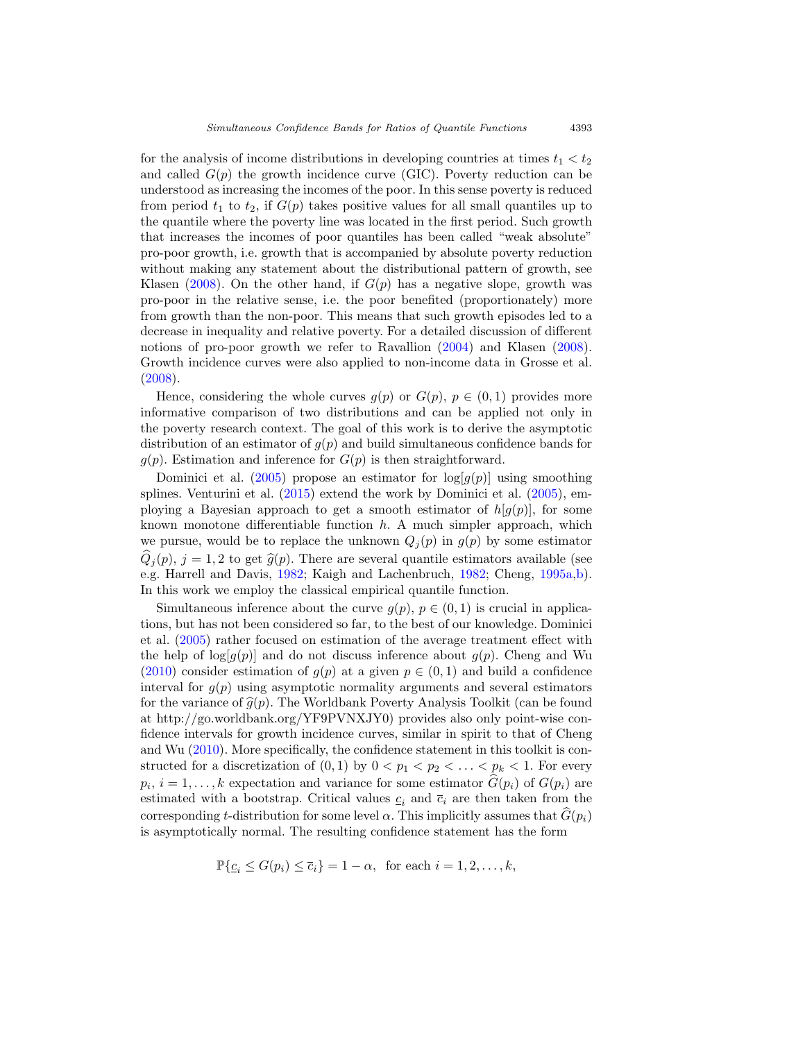for the analysis of income distributions in developing countries at times  $t_1 < t_2$ and called  $G(p)$  the growth incidence curve (GIC). Poverty reduction can be understood as increasing the incomes of the poor. In this sense poverty is reduced from period  $t_1$  to  $t_2$ , if  $G(p)$  takes positive values for all small quantiles up to the quantile where the poverty line was located in the first period. Such growth that increases the incomes of poor quantiles has been called "weak absolute" pro-poor growth, i.e. growth that is accompanied by absolute poverty reduction without making any statement about the distributional pattern of growth, see Klasen [\(2008](#page-24-2)). On the other hand, if  $G(p)$  has a negative slope, growth was pro-poor in the relative sense, i.e. the poor benefited (proportionately) more from growth than the non-poor. This means that such growth episodes led to a decrease in inequality and relative poverty. For a detailed discussion of different notions of pro-poor growth we refer to Ravallion [\(2004\)](#page-24-3) and Klasen [\(2008\)](#page-24-2). Growth incidence curves were also applied to non-income data in Grosse et al. [\(2008\)](#page-23-2).

Hence, considering the whole curves  $g(p)$  or  $G(p)$ ,  $p \in (0,1)$  provides more informative comparison of two distributions and can be applied not only in the poverty research context. The goal of this work is to derive the asymptotic distribution of an estimator of  $g(p)$  and build simultaneous confidence bands for  $g(p)$ . Estimation and inference for  $G(p)$  is then straightforward.

Dominici et al. [\(2005](#page-23-0)) propose an estimator for  $log(g(p))$  using smoothing splines. Venturini et al. [\(2015\)](#page-24-4) extend the work by Dominici et al. [\(2005](#page-23-0)), employing a Bayesian approach to get a smooth estimator of  $h[q(p)]$ , for some known monotone differentiable function  $h$ . A much simpler approach, which we pursue, would be to replace the unknown  $Q_j(p)$  in  $g(p)$  by some estimator  $Q_i(p), i = 1, 2$  to get  $\hat{q}(p)$ . There are several quantile estimators available (see e.g. Harrell and Davis, [1982;](#page-23-3) Kaigh and Lachenbruch, [1982;](#page-23-4) Cheng, [1995a](#page-22-1)[,b\)](#page-22-2). In this work we employ the classical empirical quantile function.

Simultaneous inference about the curve  $g(p), p \in (0, 1)$  is crucial in applications, but has not been considered so far, to the best of our knowledge. Dominici et al. [\(2005\)](#page-23-0) rather focused on estimation of the average treatment effect with the help of  $\log[q(p)]$  and do not discuss inference about  $q(p)$ . Cheng and Wu [\(2010\)](#page-22-0) consider estimation of  $g(p)$  at a given  $p \in (0,1)$  and build a confidence interval for  $g(p)$  using asymptotic normality arguments and several estimators for the variance of  $\hat{q}(p)$ . The Worldbank Poverty Analysis Toolkit (can be found at http://go.worldbank.org/YF9PVNXJY0) provides also only point-wise confidence intervals for growth incidence curves, similar in spirit to that of Cheng and Wu [\(2010\)](#page-22-0). More specifically, the confidence statement in this toolkit is constructed for a discretization of  $(0,1)$  by  $0 < p_1 < p_2 < \ldots < p_k < 1$ . For every  $p_i, i = 1, \ldots, k$  expectation and variance for some estimator  $G(p_i)$  of  $G(p_i)$  are estimated with a bootstrap. Critical values  $c_i$  and  $\overline{c}_i$  are then taken from the corresponding t-distribution for some level  $\alpha$ . This implicitly assumes that  $\hat{G}(p_i)$ is asymptotically normal. The resulting confidence statement has the form

$$
\mathbb{P}\{\underline{c}_i \le G(p_i) \le \overline{c}_i\} = 1 - \alpha, \text{ for each } i = 1, 2, \dots, k,
$$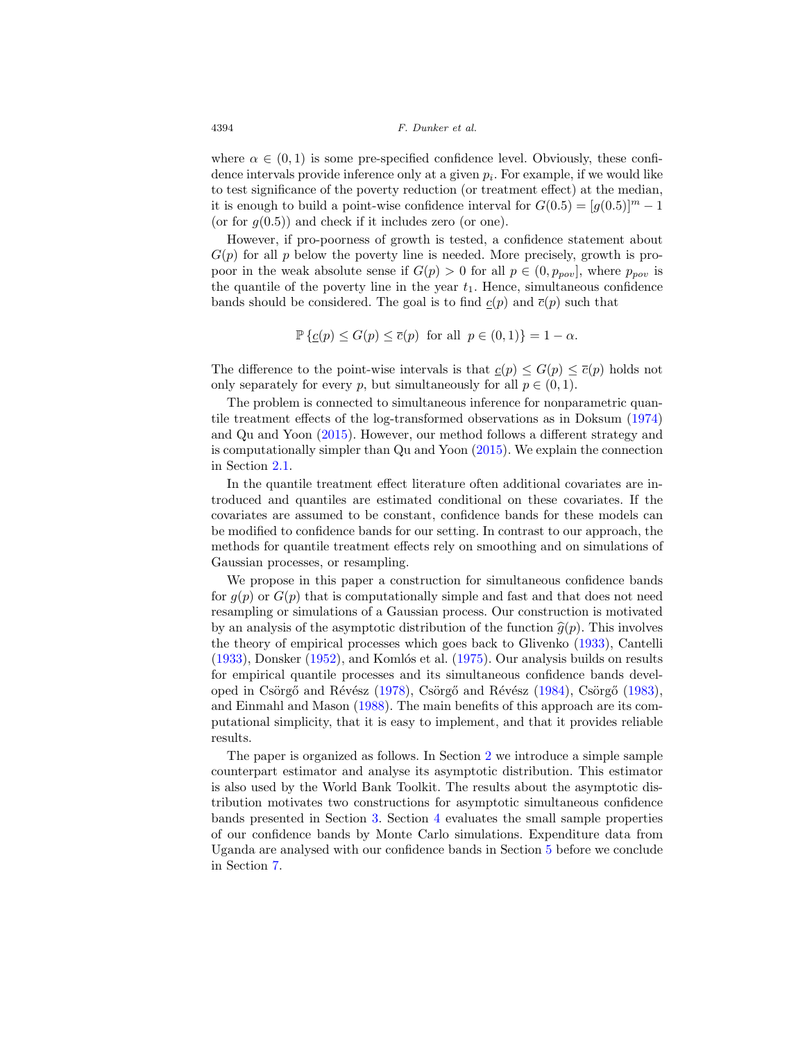where  $\alpha \in (0,1)$  is some pre-specified confidence level. Obviously, these confidence intervals provide inference only at a given  $p_i$ . For example, if we would like to test significance of the poverty reduction (or treatment effect) at the median, it is enough to build a point-wise confidence interval for  $G(0.5) = [g(0.5)]^m - 1$ (or for  $q(0.5)$ ) and check if it includes zero (or one).

However, if pro-poorness of growth is tested, a confidence statement about  $G(p)$  for all p below the poverty line is needed. More precisely, growth is propoor in the weak absolute sense if  $G(p) > 0$  for all  $p \in (0, p_{pov}]$ , where  $p_{pov}$  is the quantile of the poverty line in the year  $t_1$ . Hence, simultaneous confidence bands should be considered. The goal is to find  $c(p)$  and  $\overline{c}(p)$  such that

$$
\mathbb{P}\left\{\underline{c}(p) \le G(p) \le \overline{c}(p) \text{ for all } p \in (0,1)\right\} = 1 - \alpha.
$$

The difference to the point-wise intervals is that  $c(p) \leq G(p) \leq \overline{c}(p)$  holds not only separately for every p, but simultaneously for all  $p \in (0, 1)$ .

The problem is connected to simultaneous inference for nonparametric quantile treatment effects of the log-transformed observations as in Doksum [\(1974\)](#page-23-5) and Qu and Yoon [\(2015\)](#page-24-5). However, our method follows a different strategy and is computationally simpler than Qu and Yoon [\(2015](#page-24-5)). We explain the connection in Section [2.1.](#page-4-0)

In the quantile treatment effect literature often additional covariates are introduced and quantiles are estimated conditional on these covariates. If the covariates are assumed to be constant, confidence bands for these models can be modified to confidence bands for our setting. In contrast to our approach, the methods for quantile treatment effects rely on smoothing and on simulations of Gaussian processes, or resampling.

We propose in this paper a construction for simultaneous confidence bands for  $q(p)$  or  $G(p)$  that is computationally simple and fast and that does not need resampling or simulations of a Gaussian process. Our construction is motivated by an analysis of the asymptotic distribution of the function  $\hat{q}(p)$ . This involves the theory of empirical processes which goes back to Glivenko [\(1933](#page-23-6)), Cantelli  $(1933)$  $(1933)$ , Donsker  $(1952)$ , and Komlós et al.  $(1975)$ . Our analysis builds on results for empirical quantile processes and its simultaneous confidence bands devel-oped in Csörgő and Révész [\(1978](#page-23-8)), Csörgő and Révész [\(1984\)](#page-23-9), Csörgő [\(1983\)](#page-23-10), and Einmahl and Mason [\(1988\)](#page-23-11). The main benefits of this approach are its computational simplicity, that it is easy to implement, and that it provides reliable results.

The paper is organized as follows. In Section [2](#page-4-1) we introduce a simple sample counterpart estimator and analyse its asymptotic distribution. This estimator is also used by the World Bank Toolkit. The results about the asymptotic distribution motivates two constructions for asymptotic simultaneous confidence bands presented in Section [3.](#page-9-0) Section [4](#page-12-0) evaluates the small sample properties of our confidence bands by Monte Carlo simulations. Expenditure data from Uganda are analysed with our confidence bands in Section [5](#page-14-0) before we conclude in Section [7.](#page-17-0)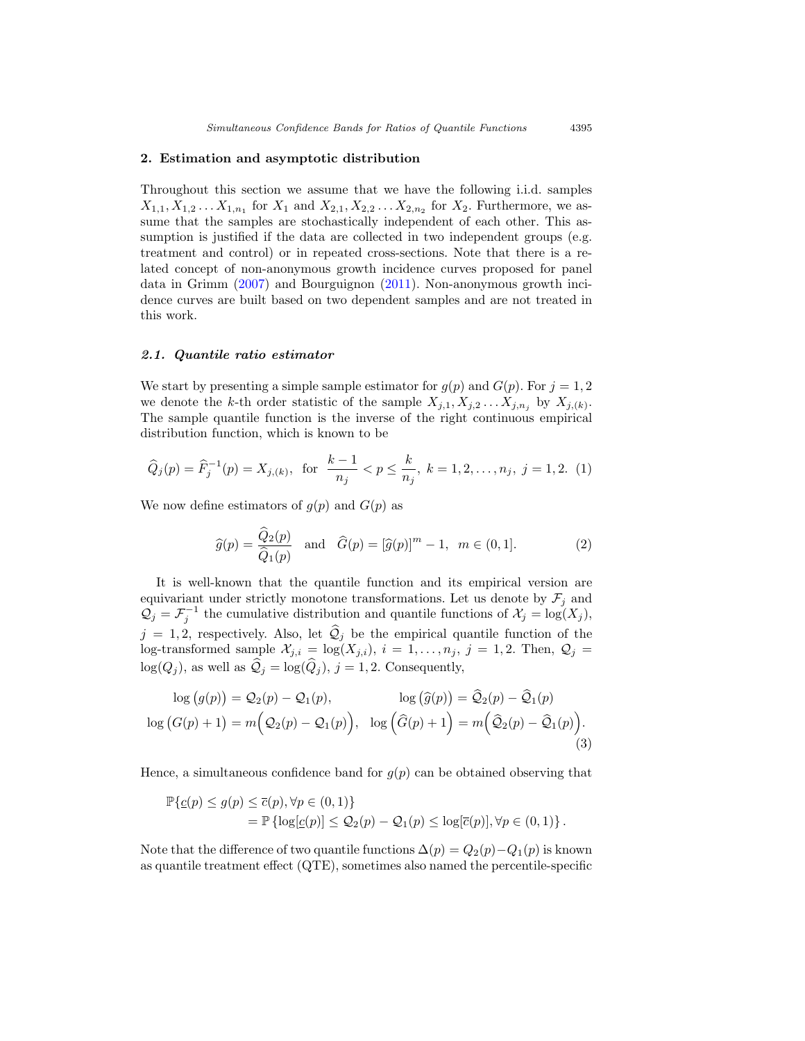#### <span id="page-4-1"></span>**2. Estimation and asymptotic distribution**

Throughout this section we assume that we have the following i.i.d. samples  $X_{1,1}, X_{1,2} \ldots X_{1,n_1}$  for  $X_1$  and  $X_{2,1}, X_{2,2} \ldots X_{2,n_2}$  for  $X_2$ . Furthermore, we assume that the samples are stochastically independent of each other. This assumption is justified if the data are collected in two independent groups (e.g. treatment and control) or in repeated cross-sections. Note that there is a related concept of non-anonymous growth incidence curves proposed for panel data in Grimm [\(2007](#page-23-12)) and Bourguignon [\(2011\)](#page-22-4). Non-anonymous growth incidence curves are built based on two dependent samples and are not treated in this work.

## <span id="page-4-0"></span>*2.1. Quantile ratio estimator*

We start by presenting a simple sample estimator for  $g(p)$  and  $G(p)$ . For  $j = 1, 2$ we denote the k-th order statistic of the sample  $X_{j,1}, X_{j,2} \ldots X_{j,n_j}$  by  $X_{j,(k)}$ . The sample quantile function is the inverse of the right continuous empirical distribution function, which is known to be

$$
\widehat{Q}_j(p) = \widehat{F}_j^{-1}(p) = X_{j,(k)}, \text{ for } \frac{k-1}{n_j} < p \le \frac{k}{n_j}, \ k = 1, 2, \dots, n_j, \ j = 1, 2. \tag{1}
$$

We now define estimators of  $g(p)$  and  $G(p)$  as

<span id="page-4-2"></span>
$$
\widehat{g}(p) = \frac{\widehat{Q}_2(p)}{\widehat{Q}_1(p)} \quad \text{and} \quad \widehat{G}(p) = [\widehat{g}(p)]^m - 1, \quad m \in (0, 1]. \tag{2}
$$

It is well-known that the quantile function and its empirical version are equivariant under strictly monotone transformations. Let us denote by  $\mathcal{F}_i$  and  $\mathcal{Q}_j = \mathcal{F}_j^{-1}$  the cumulative distribution and quantile functions of  $\mathcal{X}_j = \log(X_j)$ ,  $j = 1, 2$ , respectively. Also, let  $\mathcal{Q}_j$  be the empirical quantile function of the log-transformed sample  $\mathcal{X}_{j,i} = \log(X_{j,i}), i = 1,\ldots,n_j, j = 1,2.$  Then,  $\mathcal{Q}_j$  $log(Q_j)$ , as well as  $\mathcal{Q}_j = log(\mathcal{Q}_j)$ ,  $j = 1, 2$ . Consequently,

$$
\log (g(p)) = \mathcal{Q}_2(p) - \mathcal{Q}_1(p), \qquad \log (\widehat{g}(p)) = \widehat{\mathcal{Q}}_2(p) - \widehat{\mathcal{Q}}_1(p)
$$
  

$$
\log (G(p) + 1) = m(\mathcal{Q}_2(p) - \mathcal{Q}_1(p)), \quad \log (\widehat{G}(p) + 1) = m(\widehat{\mathcal{Q}}_2(p) - \widehat{\mathcal{Q}}_1(p)).
$$
  
(3)

Hence, a simultaneous confidence band for  $g(p)$  can be obtained observing that

$$
\mathbb{P}\{\underline{c}(p) \le g(p) \le \overline{c}(p), \forall p \in (0,1)\} \n= \mathbb{P}\left\{\log[\underline{c}(p)] \le \mathcal{Q}_2(p) - \mathcal{Q}_1(p) \le \log[\overline{c}(p)], \forall p \in (0,1)\right\}.
$$

Note that the difference of two quantile functions  $\Delta(p) = Q_2(p) - Q_1(p)$  is known as quantile treatment effect (QTE), sometimes also named the percentile-specific

<span id="page-4-3"></span>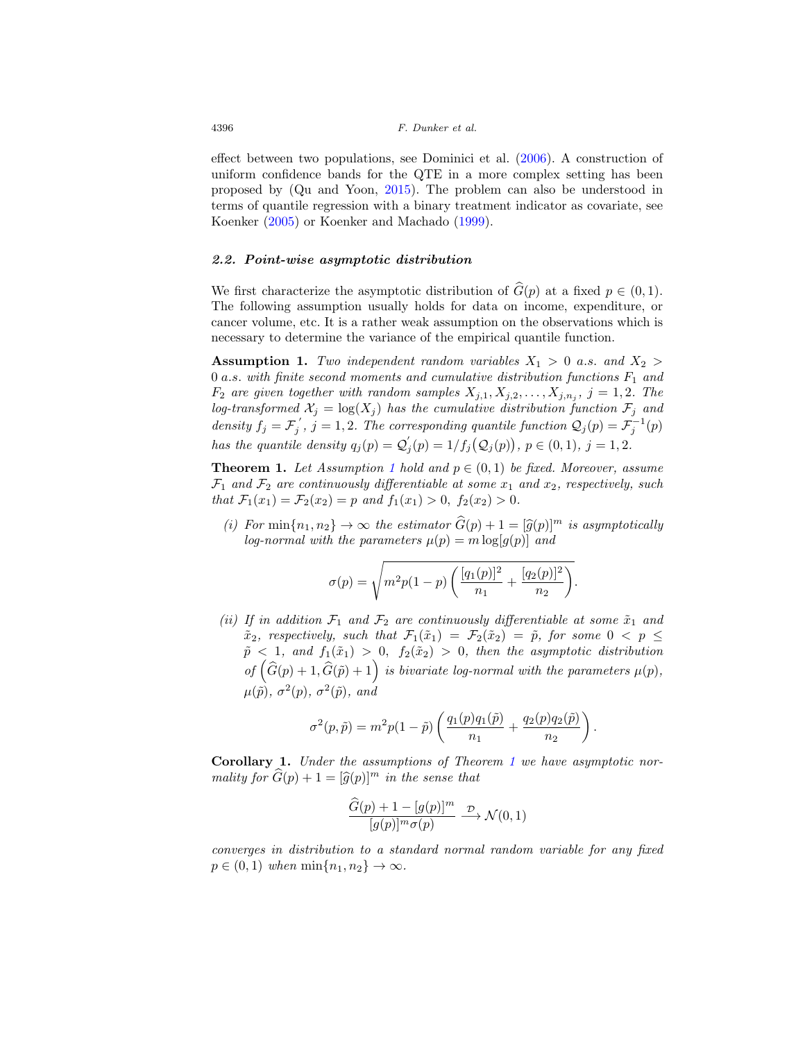effect between two populations, see Dominici et al. [\(2006\)](#page-23-13). A construction of uniform confidence bands for the QTE in a more complex setting has been proposed by (Qu and Yoon, [2015\)](#page-24-5). The problem can also be understood in terms of quantile regression with a binary treatment indicator as covariate, see Koenker [\(2005](#page-24-7)) or Koenker and Machado [\(1999\)](#page-24-8).

# <span id="page-5-3"></span>*2.2. Point-wise asymptotic distribution*

We first characterize the asymptotic distribution of  $\widehat{G}(p)$  at a fixed  $p \in (0,1)$ . The following assumption usually holds for data on income, expenditure, or cancer volume, etc. It is a rather weak assumption on the observations which is necessary to determine the variance of the empirical quantile function.

<span id="page-5-0"></span>**Assumption 1.** Two independent random variables  $X_1 > 0$  a.s. and  $X_2 >$ 0 a.s. with finite second moments and cumulative distribution functions  $F_1$  and  $F_2$  are given together with random samples  $X_{j,1}, X_{j,2},...,X_{j,n_j}$ ,  $j = 1,2$ . The log-transformed  $\mathcal{X}_j = \log(X_j)$  has the cumulative distribution function  $\mathcal{F}_j$  and density  $f_j = \mathcal{F}_j'$ ,  $j = 1, 2$ . The corresponding quantile function  $\mathcal{Q}_j(p) = \mathcal{F}_j^{-1}(p)$ has the quantile density  $q_j(p) = \mathcal{Q}'_j(p) = 1/f_j(\mathcal{Q}_j(p)), p \in (0,1), j = 1,2.$ 

<span id="page-5-1"></span>**Theorem [1](#page-5-0).** Let Assumption 1 hold and  $p \in (0,1)$  be fixed. Moreover, assume  $\mathcal{F}_1$  and  $\mathcal{F}_2$  are continuously differentiable at some  $x_1$  and  $x_2$ , respectively, such that  $\mathcal{F}_1(x_1) = \mathcal{F}_2(x_2) = p$  and  $f_1(x_1) > 0$ ,  $f_2(x_2) > 0$ .

(i) For  $\min\{n_1, n_2\} \to \infty$  the estimator  $\widehat{G}(p) + 1 = [\widehat{g}(p)]^m$  is asymptotically log-normal with the parameters  $\mu(p) = m \log[q(p)]$  and

$$
\sigma(p) = \sqrt{m^2 p(1-p) \left( \frac{[q_1(p)]^2}{n_1} + \frac{[q_2(p)]^2}{n_2} \right)}.
$$

(ii) If in addition  $\mathcal{F}_1$  and  $\mathcal{F}_2$  are continuously differentiable at some  $\tilde{x}_1$  and  $\tilde{x}_2$ , respectively, such that  $\mathcal{F}_1(\tilde{x}_1) = \mathcal{F}_2(\tilde{x}_2) = \tilde{p}$ , for some  $0 < p \leq$  $\tilde{p}$  < 1, and  $f_1(\tilde{x}_1) > 0$ ,  $f_2(\tilde{x}_2) > 0$ , then the asymptotic distribution of  $(\widehat{G}(p) + 1, \widehat{G}(\widetilde{p}) + 1)$  is bivariate log-normal with the parameters  $\mu(p)$ ,  $\mu(\tilde{p}), \sigma^2(p), \sigma^2(\tilde{p}),$  and

$$
\sigma^2(p,\tilde{p}) = m^2 p(1-\tilde{p}) \left( \frac{q_1(p)q_1(\tilde{p})}{n_1} + \frac{q_2(p)q_2(\tilde{p})}{n_2} \right).
$$

<span id="page-5-2"></span>**Corollary 1.** Under the assumptions of Theorem [1](#page-5-1) we have asymptotic normality for  $G(p)+1=[\widehat{g}(p)]^m$  in the sense that

$$
\frac{\widehat{G}(p) + 1 - [g(p)]^m}{[g(p)]^m \sigma(p)} \xrightarrow{\mathcal{D}} \mathcal{N}(0, 1)
$$

converges in distribution to a standard normal random variable for any fixed  $p \in (0, 1)$  when  $\min\{n_1, n_2\} \to \infty$ .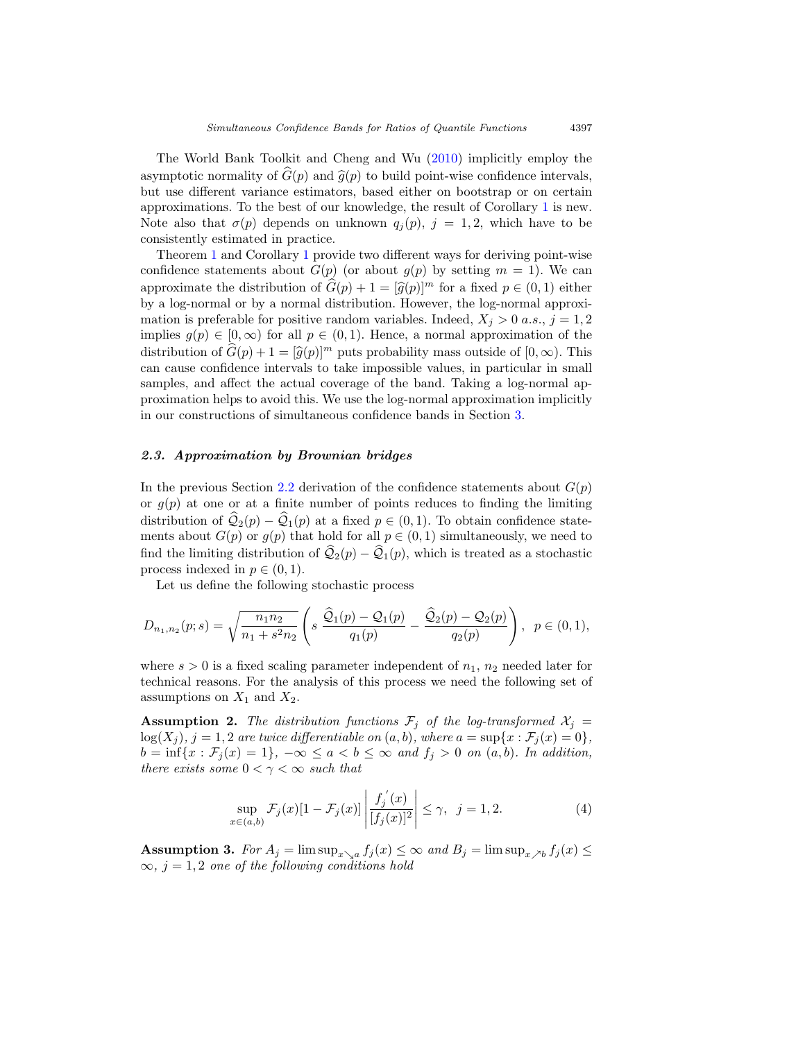The World Bank Toolkit and Cheng and Wu [\(2010](#page-22-0)) implicitly employ the asymptotic normality of  $\hat{G}(p)$  and  $\hat{g}(p)$  to build point-wise confidence intervals, but use different variance estimators, based either on bootstrap or on certain approximations. To the best of our knowledge, the result of Corollary [1](#page-5-2) is new. Note also that  $\sigma(p)$  depends on unknown  $q_j(p)$ ,  $j = 1, 2$ , which have to be consistently estimated in practice.

Theorem [1](#page-5-1) and Corollary [1](#page-5-2) provide two different ways for deriving point-wise confidence statements about  $G(p)$  (or about  $g(p)$  by setting  $m = 1$ ). We can approximate the distribution of  $\widehat{G}(p)+1=[\widehat{g}(p)]^m$  for a fixed  $p\in(0,1)$  either by a log-normal or by a normal distribution. However, the log-normal approximation is preferable for positive random variables. Indeed,  $X_i > 0$  a.s.,  $j = 1, 2$ implies  $g(p) \in [0, \infty)$  for all  $p \in (0, 1)$ . Hence, a normal approximation of the distribution of  $\widehat{G}(p)+1=[\widehat{g}(p)]^m$  puts probability mass outside of  $[0,\infty)$ . This can cause confidence intervals to take impossible values, in particular in small samples, and affect the actual coverage of the band. Taking a log-normal approximation helps to avoid this. We use the log-normal approximation implicitly in our constructions of simultaneous confidence bands in Section [3.](#page-9-0)

# *2.3. Approximation by Brownian bridges*

In the previous Section [2.2](#page-5-3) derivation of the confidence statements about  $G(p)$ or  $g(p)$  at one or at a finite number of points reduces to finding the limiting distribution of  $\mathcal{Q}_2(p) - \mathcal{Q}_1(p)$  at a fixed  $p \in (0, 1)$ . To obtain confidence statements about  $G(p)$  or  $g(p)$  that hold for all  $p \in (0,1)$  simultaneously, we need to find the limiting distribution of  $\hat{Q}_2(p) - \hat{Q}_1(p)$ , which is treated as a stochastic process indexed in  $p \in (0, 1)$ .

Let us define the following stochastic process

$$
D_{n_1,n_2}(p;s) = \sqrt{\frac{n_1 n_2}{n_1 + s^2 n_2}} \left( s \frac{\widehat{Q}_1(p) - Q_1(p)}{q_1(p)} - \frac{\widehat{Q}_2(p) - Q_2(p)}{q_2(p)} \right), \ \ p \in (0,1),
$$

where  $s > 0$  is a fixed scaling parameter independent of  $n_1$ ,  $n_2$  needed later for technical reasons. For the analysis of this process we need the following set of assumptions on  $X_1$  and  $X_2$ .

<span id="page-6-0"></span>**Assumption 2.** The distribution functions  $\mathcal{F}_j$  of the log-transformed  $\mathcal{X}_j$  =  $log(X_j)$ ,  $j = 1, 2$  are twice differentiable on  $(a, b)$ , where  $a = sup\{x : \mathcal{F}_j(x) = 0\}$ ,  $b = \inf\{x : \mathcal{F}_j(x) = 1\}, -\infty \le a < b \le \infty \text{ and } f_j > 0 \text{ on } (a, b)$ . In addition, there exists some  $0 < \gamma < \infty$  such that

<span id="page-6-2"></span>
$$
\sup_{x \in (a,b)} \mathcal{F}_j(x)[1 - \mathcal{F}_j(x)] \left| \frac{f_j'(x)}{[f_j(x)]^2} \right| \le \gamma, \quad j = 1, 2. \tag{4}
$$

<span id="page-6-1"></span>**Assumption 3.** For  $A_j = \limsup_{x \searrow a} f_j(x) \leq \infty$  and  $B_j = \limsup_{x \nearrow b} f_j(x) \leq$  $\infty$ , j = 1,2 one of the following conditions hold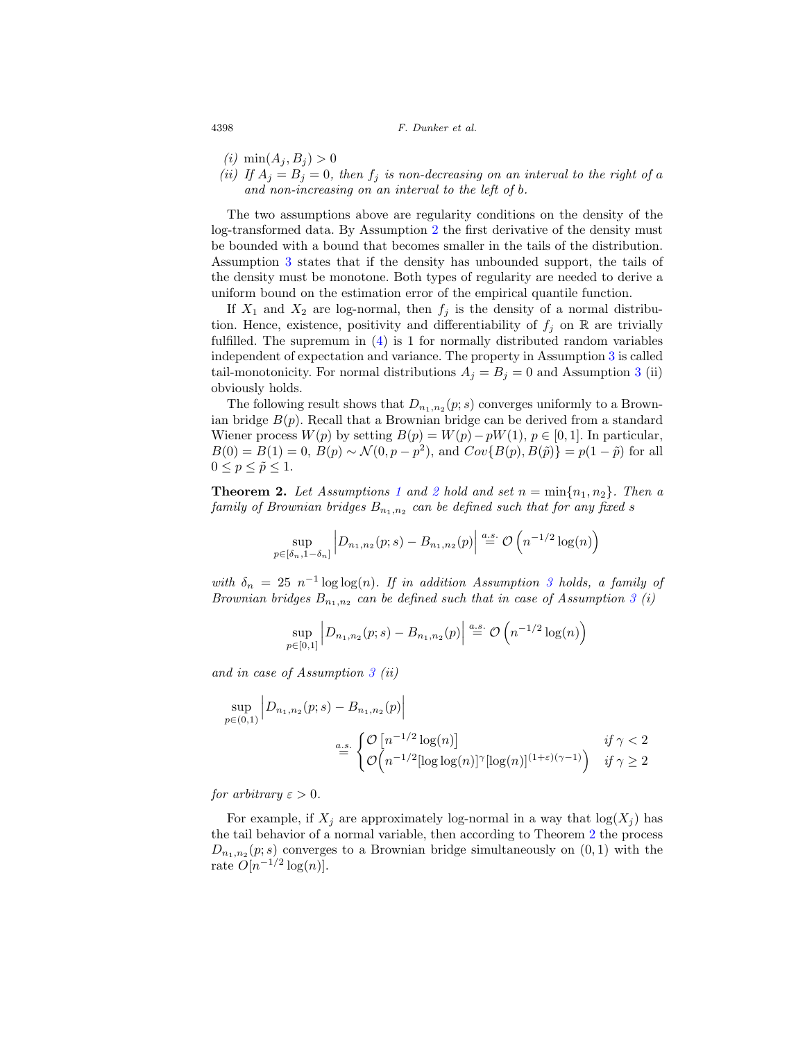- (*i*)  $\min(A_i, B_j) > 0$
- (ii) If  $A_j = B_j = 0$ , then  $f_j$  is non-decreasing on an interval to the right of a and non-increasing on an interval to the left of b.

The two assumptions above are regularity conditions on the density of the log-transformed data. By Assumption [2](#page-6-0) the first derivative of the density must be bounded with a bound that becomes smaller in the tails of the distribution. Assumption [3](#page-6-1) states that if the density has unbounded support, the tails of the density must be monotone. Both types of regularity are needed to derive a uniform bound on the estimation error of the empirical quantile function.

If  $X_1$  and  $X_2$  are log-normal, then  $f_j$  is the density of a normal distribution. Hence, existence, positivity and differentiability of  $f_j$  on R are trivially fulfilled. The supremum in [\(4\)](#page-6-2) is 1 for normally distributed random variables independent of expectation and variance. The property in Assumption [3](#page-6-1) is called tail-monotonicity. For normal distributions  $A_j = B_j = 0$  and Assumption [3](#page-6-1) (ii) obviously holds.

The following result shows that  $D_{n_1,n_2}(p; s)$  converges uniformly to a Brownian bridge  $B(p)$ . Recall that a Brownian bridge can be derived from a standard Wiener process  $W(p)$  by setting  $B(p) = W(p) - pW(1), p \in [0, 1]$ . In particular,  $B(0) = B(1) = 0, B(p) \sim \mathcal{N}(0, p - p^2)$ , and  $Cov{B(p), B(\tilde{p})} = p(1 - \tilde{p})$  for all  $0 \leq p \leq \tilde{p} \leq 1.$ 

<span id="page-7-0"></span>**Theorem [2](#page-6-0).** Let Assumptions [1](#page-5-0) and 2 hold and set  $n = \min\{n_1, n_2\}$ . Then a family of Brownian bridges  $B_{n_1,n_2}$  can be defined such that for any fixed s

$$
\sup_{p \in [\delta_n, 1 - \delta_n]} \left| D_{n_1, n_2}(p; s) - B_{n_1, n_2}(p) \right| \stackrel{a.s.}{=} \mathcal{O}\left(n^{-1/2} \log(n)\right)
$$

with  $\delta_n = 25 n^{-1} \log \log(n)$ . If in addition Assumption [3](#page-6-1) holds, a family of Brownian bridges  $B_{n_1,n_2}$  can be defined such that in case of Assumption [3](#page-6-1) (i)

$$
\sup_{p\in[0,1]}\Big|D_{n_1,n_2}(p;s)-B_{n_1,n_2}(p)\Big|\overset{a.s.}{=}\mathcal{O}\left(n^{-1/2}\log(n)\right)
$$

and in case of Assumption [3](#page-6-1) (ii)

$$
\sup_{p \in (0,1)} \left| D_{n_1,n_2}(p;s) - B_{n_1,n_2}(p) \right|
$$
  

$$
\stackrel{a.s.}{=} \begin{cases} \mathcal{O}\left[ n^{-1/2} \log(n) \right] & \text{if } \gamma < 2 \\ \mathcal{O}\left( n^{-1/2} [\log \log(n)]^{\gamma} [\log(n)]^{(1+\varepsilon)(\gamma-1)} \right) & \text{if } \gamma \ge 2 \end{cases}
$$

for arbitrary  $\varepsilon > 0$ .

For example, if  $X_j$  are approximately log-normal in a way that  $log(X_j)$  has the tail behavior of a normal variable, then according to Theorem [2](#page-7-0) the process  $D_{n_1,n_2}(p;s)$  converges to a Brownian bridge simultaneously on  $(0,1)$  with the rate  $O[n^{-1/2} \log(n)]$ .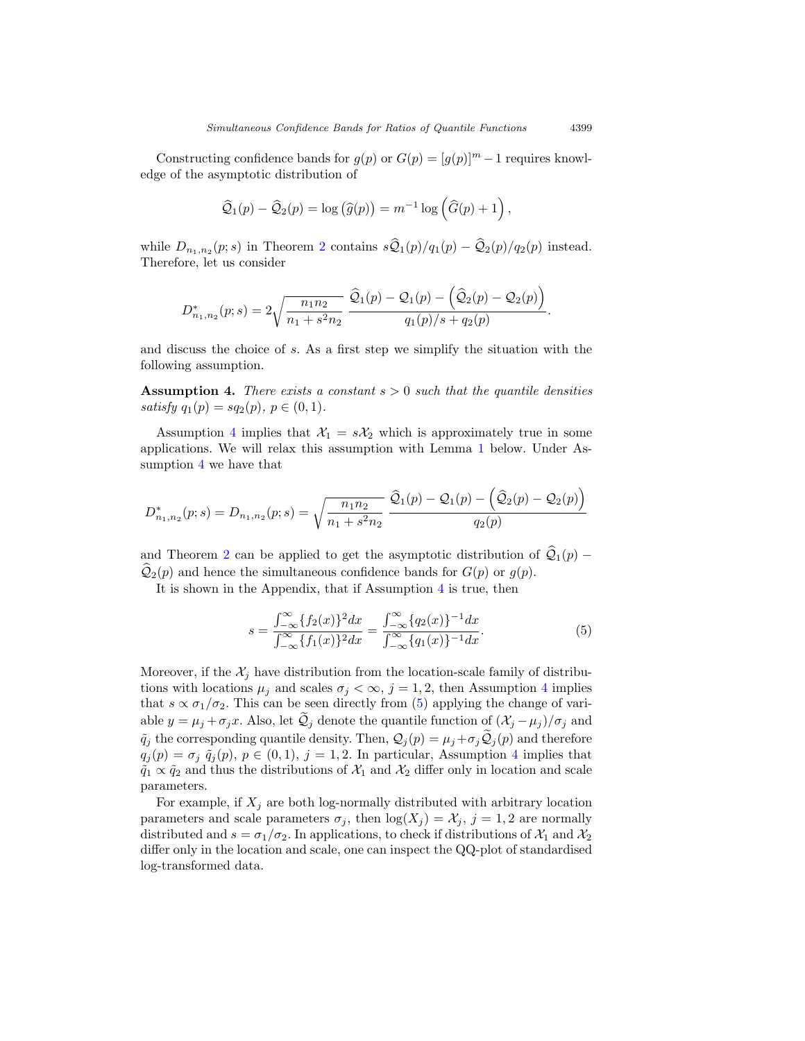Constructing confidence bands for  $g(p)$  or  $G(p)=[g(p)]^m-1$  requires knowledge of the asymptotic distribution of

$$
\widehat{Q}_1(p) - \widehat{Q}_2(p) = \log(\widehat{g}(p)) = m^{-1} \log(\widehat{G}(p) + 1),
$$

while  $D_{n_1,n_2}(p;s)$  $D_{n_1,n_2}(p;s)$  $D_{n_1,n_2}(p;s)$  in Theorem 2 contains  $s\hat{Q}_1(p)/q_1(p) - \hat{Q}_2(p)/q_2(p)$  instead. Therefore, let us consider

$$
D_{n_1,n_2}^*(p;s) = 2\sqrt{\frac{n_1 n_2}{n_1 + s^2 n_2}} \frac{\widehat{Q}_1(p) - Q_1(p) - (\widehat{Q}_2(p) - Q_2(p))}{q_1(p)/s + q_2(p)}.
$$

and discuss the choice of s. As a first step we simplify the situation with the following assumption.

<span id="page-8-0"></span>**Assumption 4.** There exists a constant  $s > 0$  such that the quantile densities satisfy  $q_1(p) = sq_2(p), p \in (0,1)$ .

Assumption [4](#page-8-0) implies that  $\mathcal{X}_1 = s\mathcal{X}_2$  which is approximately true in some applications. We will relax this assumption with Lemma [1](#page-9-1) below. Under Assumption [4](#page-8-0) we have that

$$
D_{n_1,n_2}^*(p;s) = D_{n_1,n_2}(p;s) = \sqrt{\frac{n_1 n_2}{n_1 + s^2 n_2}} \frac{\hat{Q}_1(p) - Q_1(p) - (\hat{Q}_2(p) - Q_2(p))}{q_2(p)}
$$

and Theorem [2](#page-7-0) can be applied to get the asymptotic distribution of  $\mathcal{Q}_1(p)$  −  $\mathcal{Q}_2(p)$  and hence the simultaneous confidence bands for  $G(p)$  or  $g(p)$ .

It is shown in the Appendix, that if Assumption [4](#page-8-0) is true, then

<span id="page-8-1"></span>
$$
s = \frac{\int_{-\infty}^{\infty} \{f_2(x)\}^2 dx}{\int_{-\infty}^{\infty} \{f_1(x)\}^2 dx} = \frac{\int_{-\infty}^{\infty} \{q_2(x)\}^{-1} dx}{\int_{-\infty}^{\infty} \{q_1(x)\}^{-1} dx}.
$$
 (5)

Moreover, if the  $\mathcal{X}_j$  have distribution from the location-scale family of distributions with locations  $\mu_j$  and scales  $\sigma_j < \infty$ ,  $j = 1, 2$ , then Assumption [4](#page-8-0) implies that  $s \propto \sigma_1/\sigma_2$ . This can be seen directly from [\(5\)](#page-8-1) applying the change of variable  $y = \mu_j + \sigma_j x$ . Also, let  $\mathcal{Q}_j$  denote the quantile function of  $(\mathcal{X}_j - \mu_j)/\sigma_j$  and  $\tilde{q}_j$  the corresponding quantile density. Then,  $\mathcal{Q}_j(p) = \mu_j + \sigma_j \tilde{\mathcal{Q}}_j(p)$  and therefore  $q_j(p) = \sigma_j \tilde{q}_j(p), p \in (0, 1), j = 1, 2.$  In particular, Assumption [4](#page-8-0) implies that  $\tilde{q}_1 \propto \tilde{q}_2$  and thus the distributions of  $\mathcal{X}_1$  and  $\mathcal{X}_2$  differ only in location and scale parameters.

For example, if  $X_i$  are both log-normally distributed with arbitrary location parameters and scale parameters  $\sigma_j$ , then  $\log(X_j) = \mathcal{X}_j$ ,  $j = 1, 2$  are normally distributed and  $s = \sigma_1/\sigma_2$ . In applications, to check if distributions of  $\mathcal{X}_1$  and  $\mathcal{X}_2$ differ only in the location and scale, one can inspect the QQ-plot of standardised log-transformed data.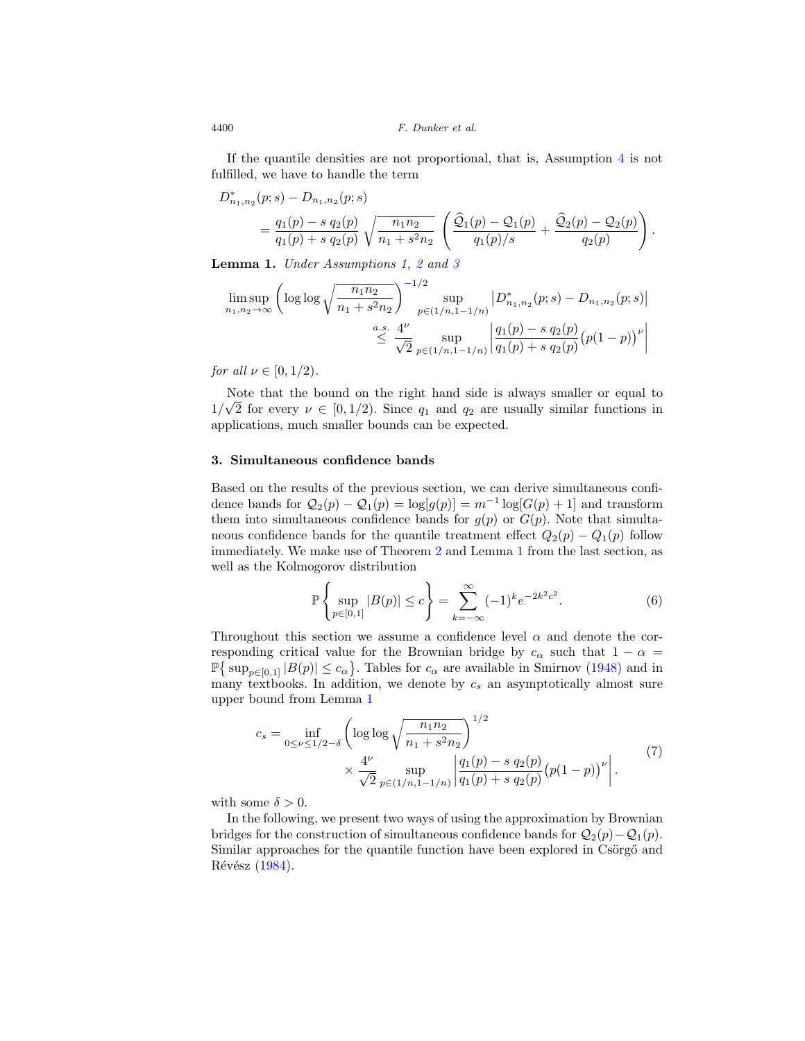If the quantile densities are not proportional, that is, Assumption [4](#page-8-0) is not fulfilled, we have to handle the term

$$
D_{n_1,n_2}^*(p;s) - D_{n_1,n_2}(p;s)
$$
  
=  $\frac{q_1(p) - s q_2(p)}{q_1(p) + s q_2(p)} \sqrt{\frac{n_1 n_2}{n_1 + s^2 n_2}} \left( \frac{\widehat{Q}_1(p) - Q_1(p)}{q_1(p)/s} + \frac{\widehat{Q}_2(p) - Q_2(p)}{q_2(p)} \right).$ 

<span id="page-9-1"></span>**Lemma 1.** Under Assumptions [1,](#page-5-0) [2](#page-6-0) and [3](#page-6-1)

$$
\limsup_{n_1, n_2 \to \infty} \left( \log \log \sqrt{\frac{n_1 n_2}{n_1 + s^2 n_2}} \right)^{-1/2} \sup_{p \in (1/n, 1 - 1/n)} \left| D^*_{n_1, n_2}(p; s) - D_{n_1, n_2}(p; s) \right|
$$
  

$$
\leq \frac{a.s. 4^{\nu}}{\sqrt{2}} \sup_{p \in (1/n, 1 - 1/n)} \left| \frac{q_1(p) - s q_2(p)}{q_1(p) + s q_2(p)} (p(1 - p))^{\nu} \right|
$$

for all  $\nu \in [0, 1/2)$ .

Note that the bound on the right hand side is always smaller or equal to Note that the bound on the right hand side is always smaller or equal to  $1/\sqrt{2}$  for every  $\nu \in [0, 1/2)$ . Since  $q_1$  and  $q_2$  are usually similar functions in applications, much smaller bounds can be expected.

#### <span id="page-9-0"></span>**3. Simultaneous confidence bands**

Based on the results of the previous section, we can derive simultaneous confidence bands for  $Q_2(p) - Q_1(p) = \log[g(p)] = m^{-1} \log[G(p) + 1]$  and transform them into simultaneous confidence bands for  $g(p)$  or  $G(p)$ . Note that simultaneous confidence bands for the quantile treatment effect  $Q_2(p) - Q_1(p)$  follow immediately. We make use of Theorem [2](#page-7-0) and Lemma [1](#page-9-1) from the last section, as well as the Kolmogorov distribution

<span id="page-9-2"></span>
$$
\mathbb{P}\left\{\sup_{p\in[0,1]}|B(p)|\leq c\right\} = \sum_{k=-\infty}^{\infty}(-1)^{k}e^{-2k^{2}c^{2}}.
$$
 (6)

Throughout this section we assume a confidence level  $\alpha$  and denote the corresponding critical value for the Brownian bridge by  $c_{\alpha}$  such that  $1 - \alpha =$  $\mathbb{P}\left\{\sup_{p\in[0,1]}|B(p)|\leq c_{\alpha}\right\}$ . Tables for  $c_{\alpha}$  are available in Smirnov [\(1948\)](#page-24-9) and in many textbooks. In addition, we denote by  $c_s$  an asymptotically almost sure upper bound from Lemma [1](#page-9-1)

$$
c_s = \inf_{0 \le \nu \le 1/2 - \delta} \left( \log \log \sqrt{\frac{n_1 n_2}{n_1 + s^2 n_2}} \right)^{1/2} \times \frac{4^{\nu}}{\sqrt{2}} \sup_{p \in (1/n, 1 - 1/n)} \left| \frac{q_1(p) - s q_2(p)}{q_1(p) + s q_2(p)} (p(1 - p))^{\nu} \right|.
$$
 (7)

with some  $\delta > 0$ .

In the following, we present two ways of using the approximation by Brownian bridges for the construction of simultaneous confidence bands for  $Q_2(p)-Q_1(p)$ . Similar approaches for the quantile function have been explored in Csörgő and Révész [\(1984\)](#page-23-9).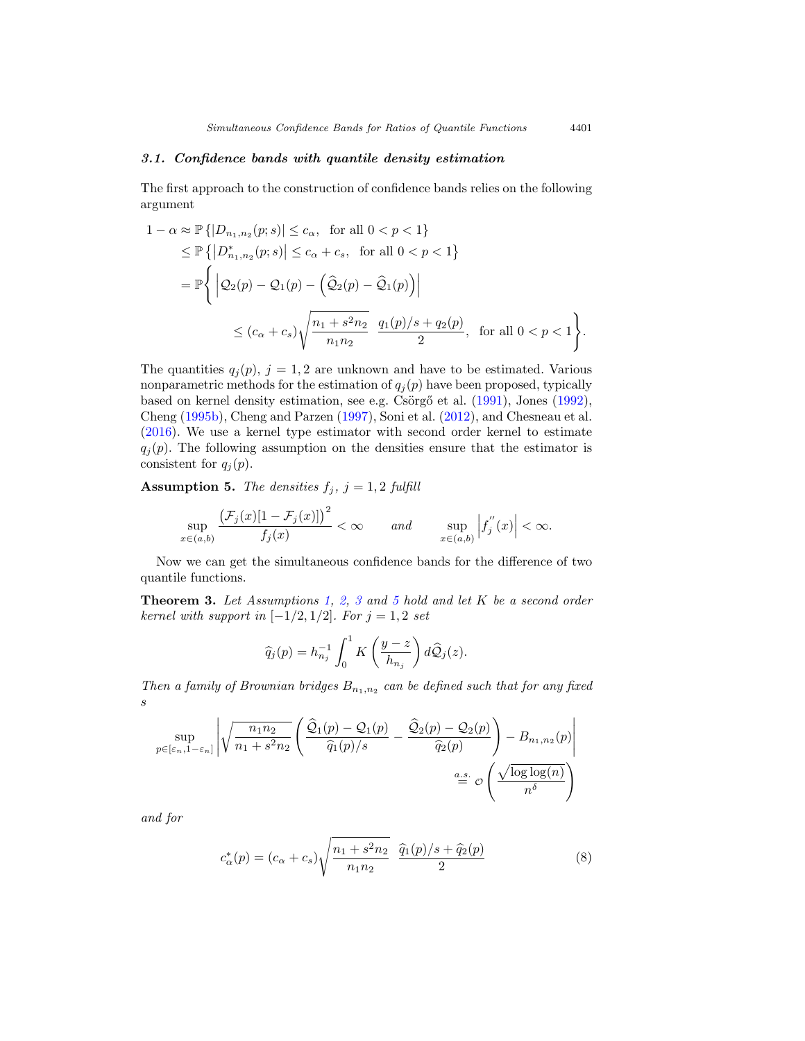## <span id="page-10-3"></span>*3.1. Confidence bands with quantile density estimation*

The first approach to the construction of confidence bands relies on the following argument

$$
1 - \alpha \approx \mathbb{P}\{|D_{n_1,n_2}(p;s)| \le c_{\alpha}, \text{ for all } 0 < p < 1\}
$$
  
\n
$$
\le \mathbb{P}\{|D_{n_1,n_2}^*(p;s)| \le c_{\alpha} + c_s, \text{ for all } 0 < p < 1\}
$$
  
\n
$$
= \mathbb{P}\left\{ |\mathcal{Q}_2(p) - \mathcal{Q}_1(p) - (\widehat{\mathcal{Q}}_2(p) - \widehat{\mathcal{Q}}_1(p))| \right\}
$$
  
\n
$$
\le (c_{\alpha} + c_s) \sqrt{\frac{n_1 + s^2 n_2}{n_1 n_2}} \frac{q_1(p)/s + q_2(p)}{2}, \text{ for all } 0 < p < 1 \right\}.
$$

The quantities  $q_j(p)$ ,  $j = 1, 2$  are unknown and have to be estimated. Various nonparametric methods for the estimation of  $q_i(p)$  have been proposed, typically based on kernel density estimation, see e.g. Csörgő et al. [\(1991](#page-23-14)), Jones [\(1992\)](#page-23-15), Cheng [\(1995b](#page-22-2)), Cheng and Parzen [\(1997\)](#page-22-5), Soni et al. [\(2012\)](#page-24-10), and Chesneau et al. [\(2016\)](#page-23-16). We use a kernel type estimator with second order kernel to estimate  $q_j(p)$ . The following assumption on the densities ensure that the estimator is consistent for  $q_j(p)$ .

<span id="page-10-0"></span>**Assumption 5.** The densities  $f_j$ ,  $j = 1, 2$  fulfill

$$
\sup_{x \in (a,b)} \frac{\left(\mathcal{F}_j(x)[1 - \mathcal{F}_j(x)]\right)^2}{f_j(x)} < \infty \qquad and \qquad \sup_{x \in (a,b)} \left|f_j^{''}(x)\right| < \infty.
$$

Now we can get the simultaneous confidence bands for the difference of two quantile functions.

<span id="page-10-2"></span>**Theorem [3](#page-6-1).** Let Assumptions [1,](#page-5-0) [2,](#page-6-0) 3 and [5](#page-10-0) hold and let K be a second order kernel with support in  $[-1/2, 1/2]$ . For  $j = 1, 2$  set

$$
\widehat{q}_j(p) = h_{n_j}^{-1} \int_0^1 K\left(\frac{y-z}{h_{n_j}}\right) d\widehat{Q}_j(z).
$$

Then a family of Brownian bridges  $B_{n_1,n_2}$  can be defined such that for any fixed s

$$
\sup_{p \in [\varepsilon_n, 1 - \varepsilon_n]} \left| \sqrt{\frac{n_1 n_2}{n_1 + s^2 n_2}} \left( \frac{\widehat{\mathcal{Q}}_1(p) - \mathcal{Q}_1(p)}{\widehat{q}_1(p)/s} - \frac{\widehat{\mathcal{Q}}_2(p) - \mathcal{Q}_2(p)}{\widehat{q}_2(p)} \right) - B_{n_1, n_2}(p) \right|
$$
  

$$
\stackrel{a.s.}{=} \mathcal{O}\left(\frac{\sqrt{\log \log(n)}}{n^{\delta}}\right)
$$

and for

<span id="page-10-1"></span>
$$
c_{\alpha}^{*}(p) = (c_{\alpha} + c_{s}) \sqrt{\frac{n_{1} + s^{2}n_{2}}{n_{1}n_{2}}} \frac{\hat{q}_{1}(p)/s + \hat{q}_{2}(p)}{2}
$$
(8)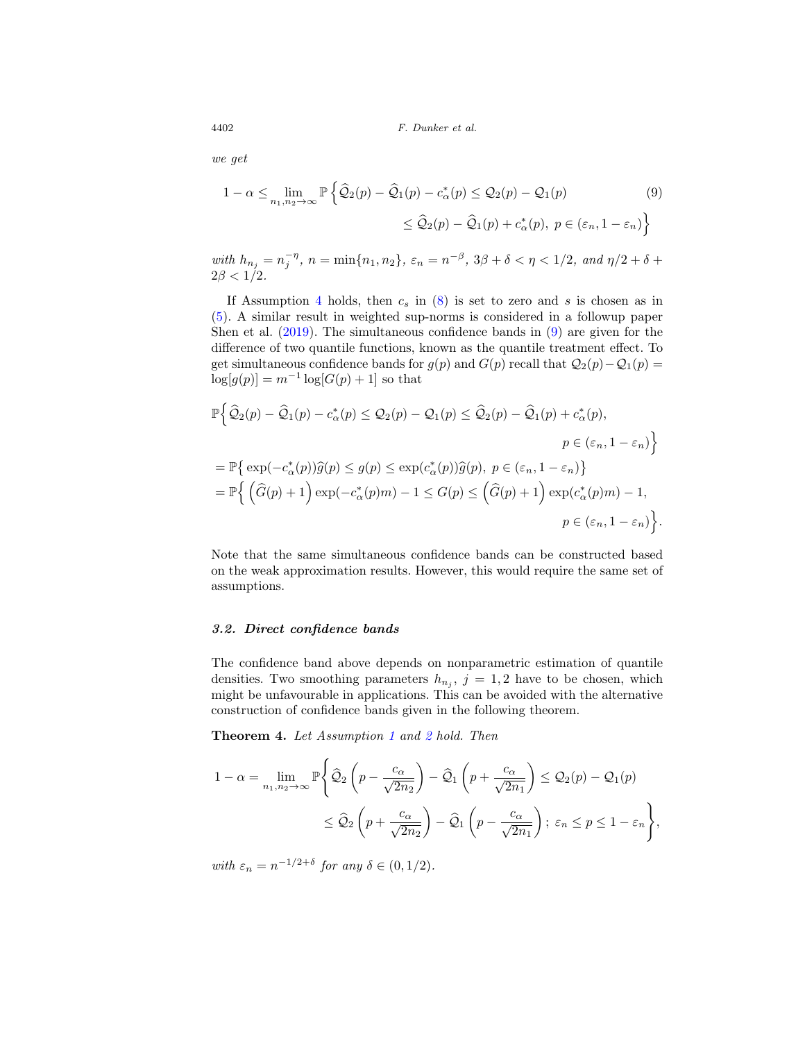we get

<span id="page-11-0"></span>
$$
1 - \alpha \le \lim_{n_1, n_2 \to \infty} \mathbb{P} \left\{ \widehat{\mathcal{Q}}_2(p) - \widehat{\mathcal{Q}}_1(p) - c^*_{\alpha}(p) \le \mathcal{Q}_2(p) - \mathcal{Q}_1(p) \right\}
$$
\n
$$
\le \widehat{\mathcal{Q}}_2(p) - \widehat{\mathcal{Q}}_1(p) + c^*_{\alpha}(p), \ p \in (\varepsilon_n, 1 - \varepsilon_n) \right\}
$$
\n(9)

with  $h_{n_j} = n_j^{-\eta}, n = \min\{n_1, n_2\}, \, \varepsilon_n = n^{-\beta}, \, 3\beta + \delta < \eta < 1/2, \, and \, \eta/2 + \delta + \delta$  $2\beta < 1/2$ .

If Assumption [4](#page-8-0) holds, then  $c_s$  in  $(8)$  is set to zero and s is chosen as in [\(5\)](#page-8-1). A similar result in weighted sup-norms is considered in a followup paper Shen et al. [\(2019](#page-24-11)). The simultaneous confidence bands in [\(9\)](#page-11-0) are given for the difference of two quantile functions, known as the quantile treatment effect. To get simultaneous confidence bands for  $g(p)$  and  $G(p)$  recall that  $\mathcal{Q}_2(p)-\mathcal{Q}_1(p) =$  $\log[g(p)] = m^{-1} \log[G(p) + 1]$  so that

$$
\mathbb{P}\Big\{\widehat{\mathcal{Q}}_2(p) - \widehat{\mathcal{Q}}_1(p) - c^*_{\alpha}(p) \leq \mathcal{Q}_2(p) - \mathcal{Q}_1(p) \leq \widehat{\mathcal{Q}}_2(p) - \widehat{\mathcal{Q}}_1(p) + c^*_{\alpha}(p),
$$
  
\n
$$
p \in (\varepsilon_n, 1 - \varepsilon_n)\Big\}
$$
  
\n
$$
= \mathbb{P}\Big\{\exp(-c^*_{\alpha}(p))\widehat{g}(p) \leq g(p) \leq \exp(c^*_{\alpha}(p))\widehat{g}(p), \ p \in (\varepsilon_n, 1 - \varepsilon_n)\Big\}
$$
  
\n
$$
= \mathbb{P}\Big\{\left(\widehat{G}(p) + 1\right)\exp(-c^*_{\alpha}(p)m) - 1 \leq G(p) \leq \left(\widehat{G}(p) + 1\right)\exp(c^*_{\alpha}(p)m) - 1,
$$
  
\n
$$
p \in (\varepsilon_n, 1 - \varepsilon_n)\Big\}.
$$

Note that the same simultaneous confidence bands can be constructed based on the weak approximation results. However, this would require the same set of assumptions.

## *3.2. Direct confidence bands*

The confidence band above depends on nonparametric estimation of quantile densities. Two smoothing parameters  $h_{n_j}$ ,  $j = 1, 2$  have to be chosen, which might be unfavourable in applications. This can be avoided with the alternative construction of confidence bands given in the following theorem.

<span id="page-11-1"></span>**Theorem 4.** Let Assumption [1](#page-5-0) and [2](#page-6-0) hold. Then

$$
1 - \alpha = \lim_{n_1, n_2 \to \infty} \mathbb{P}\Bigg\{\widehat{\mathcal{Q}}_2\left(p - \frac{c_{\alpha}}{\sqrt{2n_2}}\right) - \widehat{\mathcal{Q}}_1\left(p + \frac{c_{\alpha}}{\sqrt{2n_1}}\right) \leq \mathcal{Q}_2(p) - \mathcal{Q}_1(p)
$$
  

$$
\leq \widehat{\mathcal{Q}}_2\left(p + \frac{c_{\alpha}}{\sqrt{2n_2}}\right) - \widehat{\mathcal{Q}}_1\left(p - \frac{c_{\alpha}}{\sqrt{2n_1}}\right); \ \varepsilon_n \leq p \leq 1 - \varepsilon_n\Bigg\},\
$$

with  $\varepsilon_n = n^{-1/2+\delta}$  for any  $\delta \in (0,1/2)$ .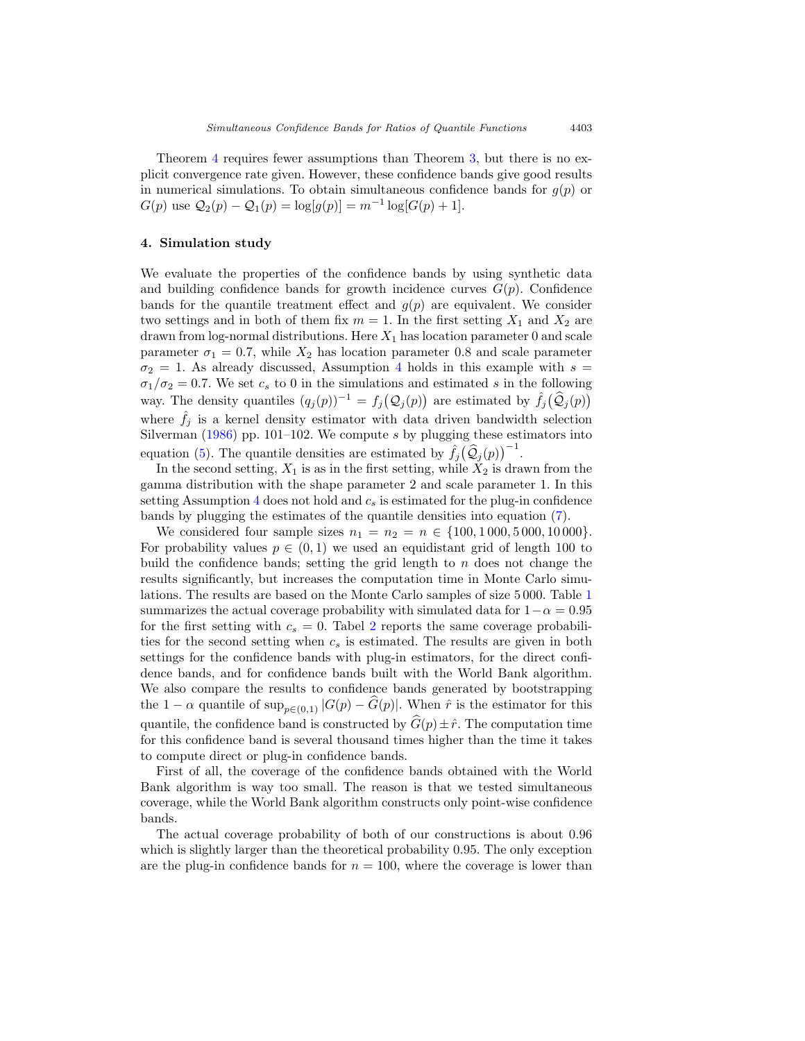Theorem [4](#page-11-1) requires fewer assumptions than Theorem [3,](#page-10-2) but there is no explicit convergence rate given. However, these confidence bands give good results in numerical simulations. To obtain simultaneous confidence bands for  $q(p)$  or  $G(p)$  use  $\mathcal{Q}_2(p) - \mathcal{Q}_1(p) = \log[g(p)] = m^{-1} \log[G(p) + 1].$ 

#### <span id="page-12-0"></span>**4. Simulation study**

We evaluate the properties of the confidence bands by using synthetic data and building confidence bands for growth incidence curves  $G(p)$ . Confidence bands for the quantile treatment effect and  $g(p)$  are equivalent. We consider two settings and in both of them fix  $m = 1$ . In the first setting  $X_1$  and  $X_2$  are drawn from log-normal distributions. Here  $X_1$  has location parameter 0 and scale parameter  $\sigma_1 = 0.7$ , while  $X_2$  has location parameter 0.8 and scale parameter  $\sigma_2 = 1$ . As already discussed, Assumption [4](#page-8-0) holds in this example with  $s =$  $\sigma_1/\sigma_2 = 0.7$ . We set  $c_s$  to 0 in the simulations and estimated s in the following way. The density quantiles  $(q_j(p))^{-1} = f_j(Q_j(p))$  are estimated by  $\hat{f}_j(\hat{Q}_j(p))$ where  $\tilde{f}_j$  is a kernel density estimator with data driven bandwidth selection Silverman [\(1986\)](#page-24-12) pp. 101–102. We compute  $s$  by plugging these estimators into equation [\(5\)](#page-8-1). The quantile densities are estimated by  $\hat{f}_j(\hat{Q}_j(p))^{-1}$ .

In the second setting,  $X_1$  is as in the first setting, while  $X_2$  is drawn from the gamma distribution with the shape parameter 2 and scale parameter 1. In this setting Assumption [4](#page-8-0) does not hold and  $c_s$  is estimated for the plug-in confidence bands by plugging the estimates of the quantile densities into equation [\(7\)](#page-9-2).

We considered four sample sizes  $n_1 = n_2 = n \in \{100, 1000, 5000, 10000\}.$ For probability values  $p \in (0,1)$  we used an equidistant grid of length 100 to build the confidence bands; setting the grid length to  $n$  does not change the results significantly, but increases the computation time in Monte Carlo simulations. The results are based on the Monte Carlo samples of size 5 000. Table [1](#page-13-0) summarizes the actual coverage probability with simulated data for  $1-\alpha = 0.95$ for the first setting with  $c_s = 0$ . Tabel [2](#page-13-1) reports the same coverage probabilities for the second setting when  $c_s$  is estimated. The results are given in both settings for the confidence bands with plug-in estimators, for the direct confidence bands, and for confidence bands built with the World Bank algorithm. We also compare the results to confidence bands generated by bootstrapping the 1 −  $\alpha$  quantile of sup<sub>p∈(0,1)</sub>  $|G(p) - \widehat{G}(p)|$ . When  $\hat{r}$  is the estimator for this quantile, the confidence band is constructed by  $\widehat{G}(p) \pm \widehat{r}$ . The computation time for this confidence band is several thousand times higher than the time it takes to compute direct or plug-in confidence bands.

First of all, the coverage of the confidence bands obtained with the World Bank algorithm is way too small. The reason is that we tested simultaneous coverage, while the World Bank algorithm constructs only point-wise confidence bands.

The actual coverage probability of both of our constructions is about 0.96 which is slightly larger than the theoretical probability 0.95. The only exception are the plug-in confidence bands for  $n = 100$ , where the coverage is lower than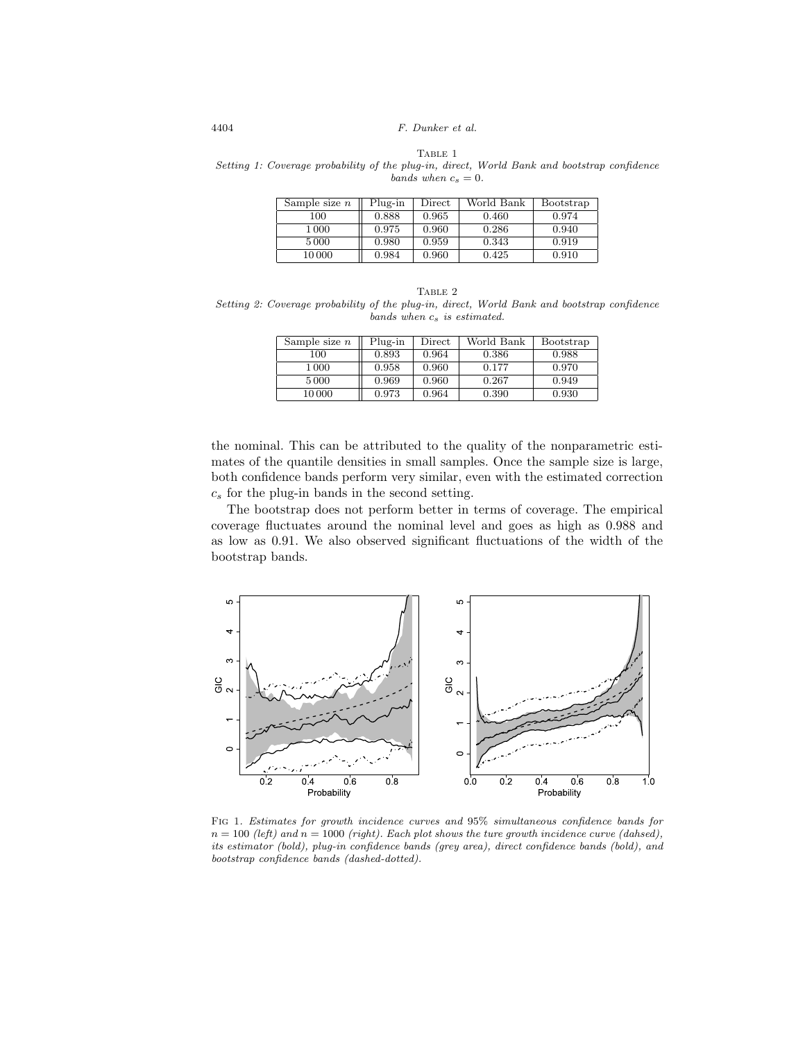TABLE 1

<span id="page-13-0"></span>Setting 1: Coverage probability of the plug-in, direct, World Bank and bootstrap confidence bands when  $c_s = 0$ .

| Sample size $n$ | Plug-in | Direct | World Bank | Bootstrap |
|-----------------|---------|--------|------------|-----------|
| 100             | 0.888   | 0.965  | 0.460      | 0.974     |
| 1 000           | 0.975   | 0.960  | 0.286      | 0.940     |
| 5000            | 0.980   | 0.959  | 0.343      | 0.919     |
| 10 000          | 0.984   | 0.960  | 0.425      | 0.910     |

<span id="page-13-1"></span>TABLE 2 Setting 2: Coverage probability of the plug-in, direct, World Bank and bootstrap confidence  $bands\ when\ c_s\ is\ estimated.$ 

| Sample size $n$ | Plug-in | Direct | World Bank | Bootstrap |
|-----------------|---------|--------|------------|-----------|
| 100             | 0.893   | 0.964  | 0.386      | 0.988     |
| 1 000           | 0.958   | 0.960  | 0.177      | 0.970     |
| 5 0 0 0         | 0.969   | 0.960  | 0.267      | 0.949     |
| 10 000          | 0.973   | 0.964  | 0.390      | 0.930     |

the nominal. This can be attributed to the quality of the nonparametric estimates of the quantile densities in small samples. Once the sample size is large, both confidence bands perform very similar, even with the estimated correction  $c_s$  for the plug-in bands in the second setting.

The bootstrap does not perform better in terms of coverage. The empirical coverage fluctuates around the nominal level and goes as high as 0.988 and as low as 0.91. We also observed significant fluctuations of the width of the bootstrap bands.



<span id="page-13-2"></span>Fig 1. Estimates for growth incidence curves and 95% simultaneous confidence bands for  $n = 100$  (left) and  $n = 1000$  (right). Each plot shows the ture growth incidence curve (dahsed), its estimator (bold), plug-in confidence bands (grey area), direct confidence bands (bold), and bootstrap confidence bands (dashed-dotted).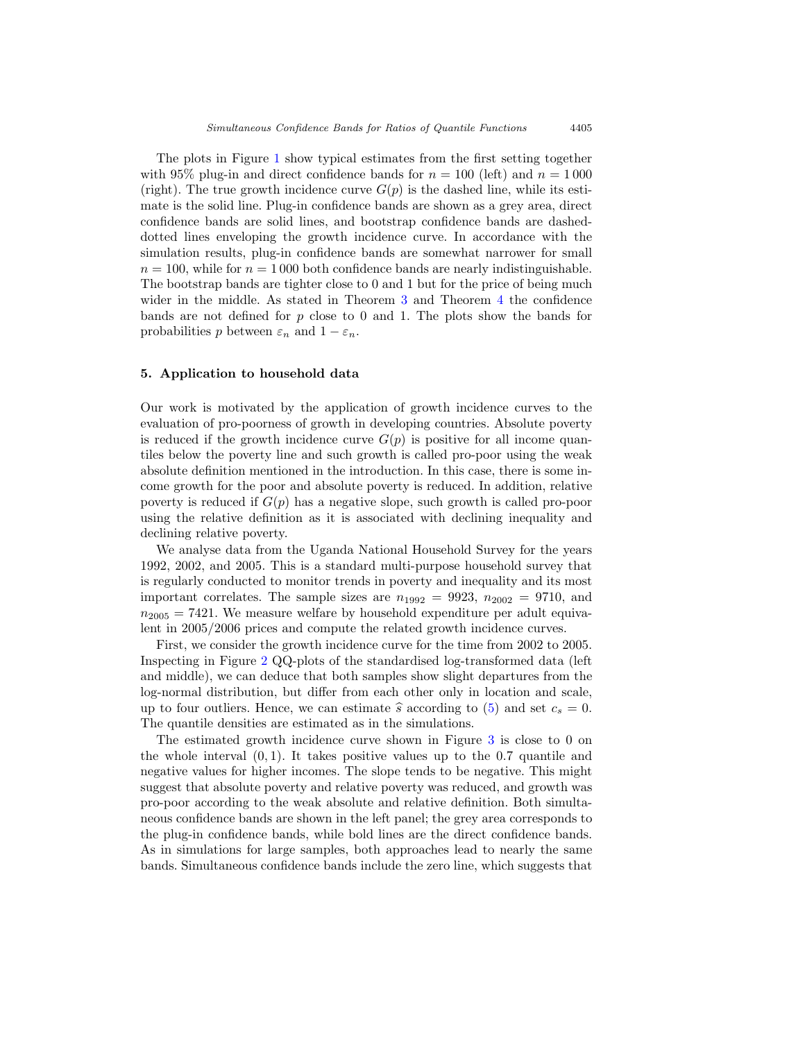The plots in Figure [1](#page-13-2) show typical estimates from the first setting together with 95% plug-in and direct confidence bands for  $n = 100$  (left) and  $n = 1000$ (right). The true growth incidence curve  $G(p)$  is the dashed line, while its estimate is the solid line. Plug-in confidence bands are shown as a grey area, direct confidence bands are solid lines, and bootstrap confidence bands are dasheddotted lines enveloping the growth incidence curve. In accordance with the simulation results, plug-in confidence bands are somewhat narrower for small  $n = 100$ , while for  $n = 1000$  both confidence bands are nearly indistinguishable. The bootstrap bands are tighter close to 0 and 1 but for the price of being much wider in the middle. As stated in Theorem [3](#page-10-2) and Theorem [4](#page-11-1) the confidence bands are not defined for  $p$  close to 0 and 1. The plots show the bands for probabilities p between  $\varepsilon_n$  and  $1 - \varepsilon_n$ .

#### <span id="page-14-0"></span>**5. Application to household data**

Our work is motivated by the application of growth incidence curves to the evaluation of pro-poorness of growth in developing countries. Absolute poverty is reduced if the growth incidence curve  $G(p)$  is positive for all income quantiles below the poverty line and such growth is called pro-poor using the weak absolute definition mentioned in the introduction. In this case, there is some income growth for the poor and absolute poverty is reduced. In addition, relative poverty is reduced if  $G(p)$  has a negative slope, such growth is called pro-poor using the relative definition as it is associated with declining inequality and declining relative poverty.

We analyse data from the Uganda National Household Survey for the years 1992, 2002, and 2005. This is a standard multi-purpose household survey that is regularly conducted to monitor trends in poverty and inequality and its most important correlates. The sample sizes are  $n_{1992} = 9923$ ,  $n_{2002} = 9710$ , and  $n_{2005} = 7421$ . We measure welfare by household expenditure per adult equivalent in 2005/2006 prices and compute the related growth incidence curves.

First, we consider the growth incidence curve for the time from 2002 to 2005. Inspecting in Figure [2](#page-15-0) QQ-plots of the standardised log-transformed data (left and middle), we can deduce that both samples show slight departures from the log-normal distribution, but differ from each other only in location and scale, up to four outliers. Hence, we can estimate  $\hat{s}$  according to [\(5\)](#page-8-1) and set  $c_s = 0$ . The quantile densities are estimated as in the simulations.

The estimated growth incidence curve shown in Figure [3](#page-16-0) is close to 0 on the whole interval  $(0, 1)$ . It takes positive values up to the 0.7 quantile and negative values for higher incomes. The slope tends to be negative. This might suggest that absolute poverty and relative poverty was reduced, and growth was pro-poor according to the weak absolute and relative definition. Both simultaneous confidence bands are shown in the left panel; the grey area corresponds to the plug-in confidence bands, while bold lines are the direct confidence bands. As in simulations for large samples, both approaches lead to nearly the same bands. Simultaneous confidence bands include the zero line, which suggests that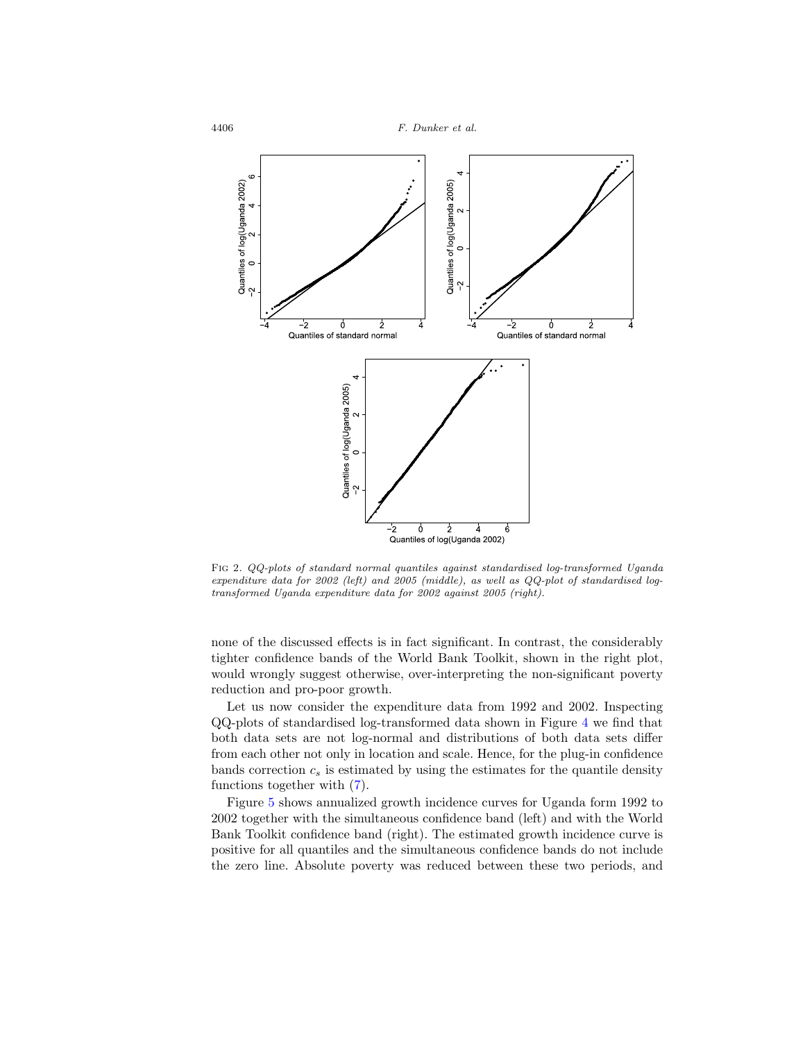



<span id="page-15-0"></span>Fig 2. QQ-plots of standard normal quantiles against standardised log-transformed Uganda expenditure data for 2002 (left) and 2005 (middle), as well as QQ-plot of standardised logtransformed Uganda expenditure data for 2002 against 2005 (right).

none of the discussed effects is in fact significant. In contrast, the considerably tighter confidence bands of the World Bank Toolkit, shown in the right plot, would wrongly suggest otherwise, over-interpreting the non-significant poverty reduction and pro-poor growth.

Let us now consider the expenditure data from 1992 and 2002. Inspecting QQ-plots of standardised log-transformed data shown in Figure [4](#page-17-1) we find that both data sets are not log-normal and distributions of both data sets differ from each other not only in location and scale. Hence, for the plug-in confidence bands correction  $c_s$  is estimated by using the estimates for the quantile density functions together with [\(7\)](#page-9-2).

Figure [5](#page-18-0) shows annualized growth incidence curves for Uganda form 1992 to 2002 together with the simultaneous confidence band (left) and with the World Bank Toolkit confidence band (right). The estimated growth incidence curve is positive for all quantiles and the simultaneous confidence bands do not include the zero line. Absolute poverty was reduced between these two periods, and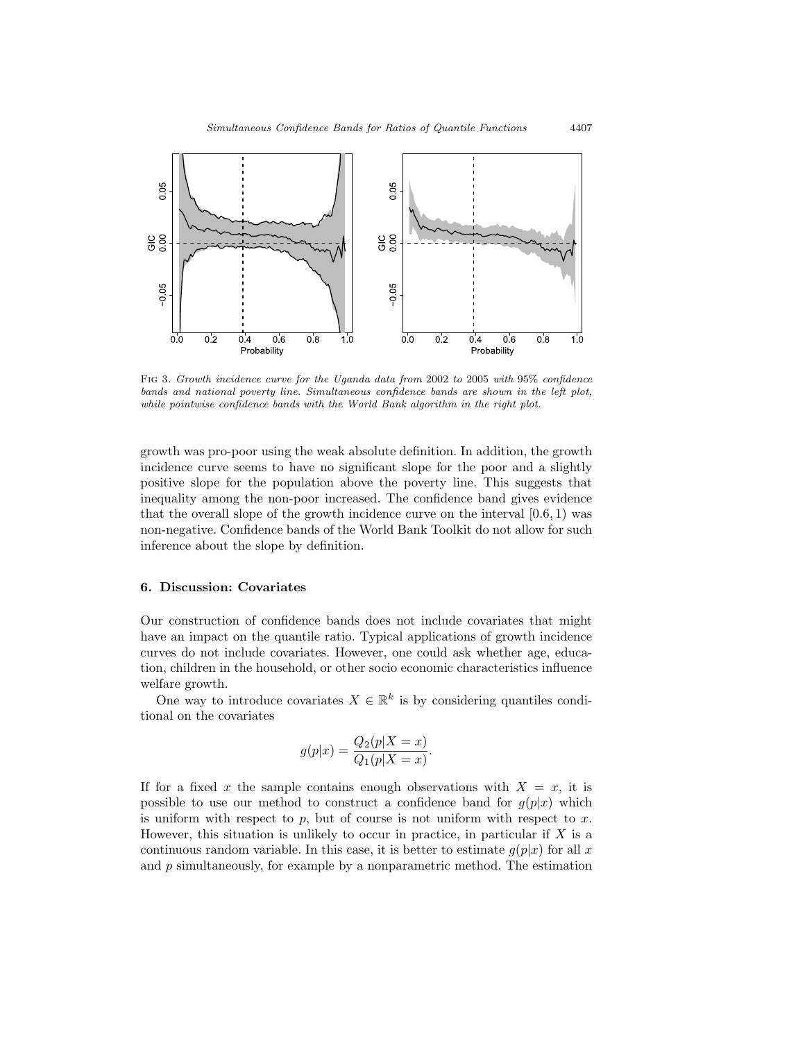

<span id="page-16-0"></span>Fig 3. Growth incidence curve for the Uganda data from 2002 to 2005 with 95% confidence bands and national poverty line. Simultaneous confidence bands are shown in the left plot, while pointwise confidence bands with the World Bank algorithm in the right plot.

growth was pro-poor using the weak absolute definition. In addition, the growth incidence curve seems to have no significant slope for the poor and a slightly positive slope for the population above the poverty line. This suggests that inequality among the non-poor increased. The confidence band gives evidence that the overall slope of the growth incidence curve on the interval  $[0.6, 1)$  was non-negative. Confidence bands of the World Bank Toolkit do not allow for such inference about the slope by definition.

# **6. Discussion: Covariates**

Our construction of confidence bands does not include covariates that might have an impact on the quantile ratio. Typical applications of growth incidence curves do not include covariates. However, one could ask whether age, education, children in the household, or other socio economic characteristics influence welfare growth.

One way to introduce covariates  $X \in \mathbb{R}^k$  is by considering quantiles conditional on the covariates

$$
g(p|x) = \frac{Q_2(p|X=x)}{Q_1(p|X=x)}.
$$

If for a fixed x the sample contains enough observations with  $X = x$ , it is possible to use our method to construct a confidence band for  $g(p|x)$  which is uniform with respect to  $p$ , but of course is not uniform with respect to  $x$ . However, this situation is unlikely to occur in practice, in particular if  $X$  is a continuous random variable. In this case, it is better to estimate  $g(p|x)$  for all x and  $p$  simultaneously, for example by a nonparametric method. The estimation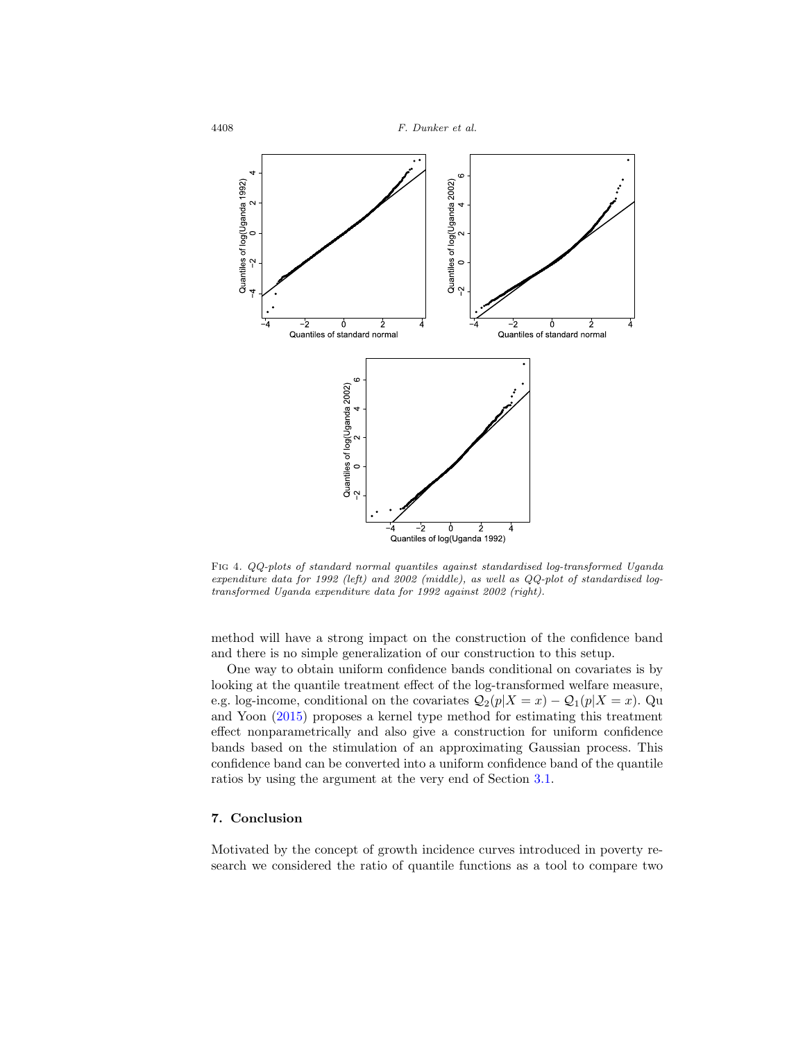

<span id="page-17-1"></span>Fig 4. QQ-plots of standard normal quantiles against standardised log-transformed Uganda expenditure data for 1992 (left) and 2002 (middle), as well as QQ-plot of standardised logtransformed Uganda expenditure data for 1992 against 2002 (right).

method will have a strong impact on the construction of the confidence band and there is no simple generalization of our construction to this setup.

One way to obtain uniform confidence bands conditional on covariates is by looking at the quantile treatment effect of the log-transformed welfare measure, e.g. log-income, conditional on the covariates  $Q_2(p|X=x) - Q_1(p|X=x)$ . Qu and Yoon [\(2015](#page-24-5)) proposes a kernel type method for estimating this treatment effect nonparametrically and also give a construction for uniform confidence bands based on the stimulation of an approximating Gaussian process. This confidence band can be converted into a uniform confidence band of the quantile ratios by using the argument at the very end of Section [3.1.](#page-10-3)

# <span id="page-17-0"></span>**7. Conclusion**

Motivated by the concept of growth incidence curves introduced in poverty research we considered the ratio of quantile functions as a tool to compare two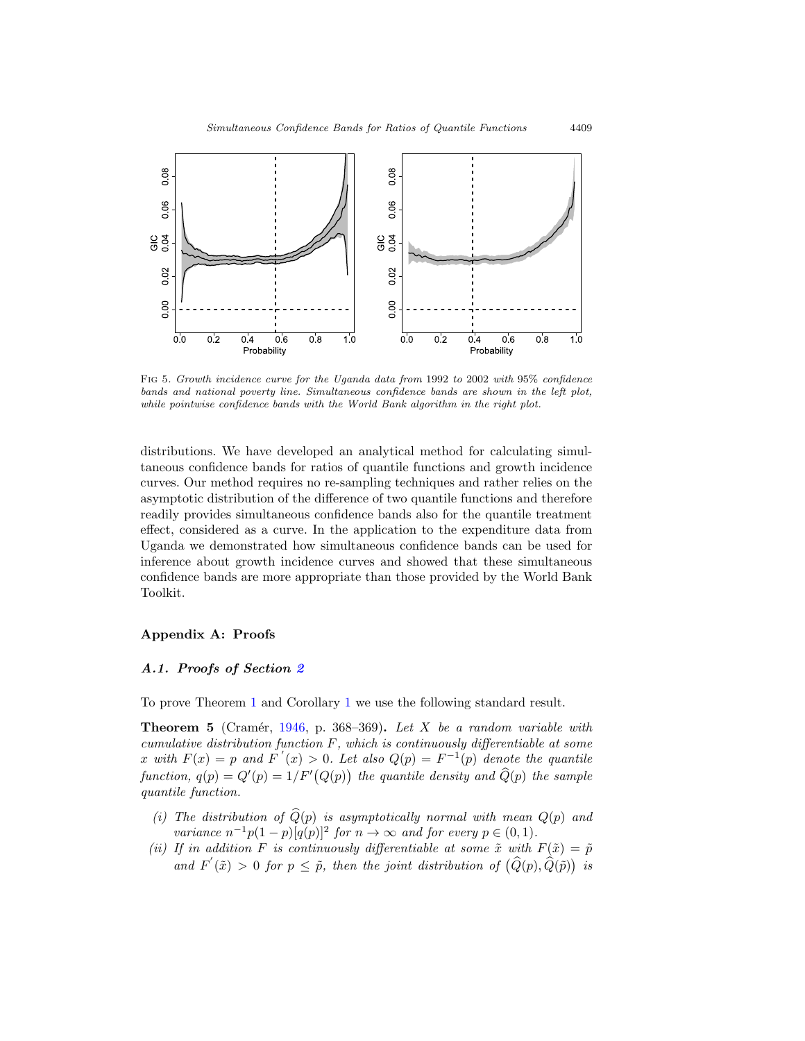

<span id="page-18-0"></span>Fig 5. Growth incidence curve for the Uganda data from 1992 to 2002 with 95% confidence bands and national poverty line. Simultaneous confidence bands are shown in the left plot, while pointwise confidence bands with the World Bank algorithm in the right plot.

distributions. We have developed an analytical method for calculating simultaneous confidence bands for ratios of quantile functions and growth incidence curves. Our method requires no re-sampling techniques and rather relies on the asymptotic distribution of the difference of two quantile functions and therefore readily provides simultaneous confidence bands also for the quantile treatment effect, considered as a curve. In the application to the expenditure data from Uganda we demonstrated how simultaneous confidence bands can be used for inference about growth incidence curves and showed that these simultaneous confidence bands are more appropriate than those provided by the World Bank Toolkit.

## **Appendix A: Proofs**

## *A.1. Proofs of Section [2](#page-4-1)*

To prove Theorem [1](#page-5-1) and Corollary [1](#page-5-2) we use the following standard result.

<span id="page-18-1"></span>**Theorem 5** (Cramér, [1946](#page-23-17), p. 368–369). Let X be a random variable with cumulative distribution function  $F$ , which is continuously differentiable at some x with  $F(x) = p$  and  $F'(x) > 0$ . Let also  $Q(p) = F^{-1}(p)$  denote the quantile function,  $q(p) = Q'(p) = 1/F'(Q(p))$  the quantile density and  $\widehat{Q}(p)$  the sample quantile function.

- (i) The distribution of  $\widehat{Q}(p)$  is asymptotically normal with mean  $Q(p)$  and variance  $n^{-1}p(1-p)[q(p)]^2$  for  $n \to \infty$  and for every  $p \in (0,1)$ .
- (ii) If in addition F is continuously differentiable at some  $\tilde{x}$  with  $F(\tilde{x})=\tilde{p}$ and  $F'(\tilde{x}) > 0$  for  $p \leq \tilde{p}$ , then the joint distribution of  $(\widehat{Q}(p), \widehat{Q}(\tilde{p}))$  is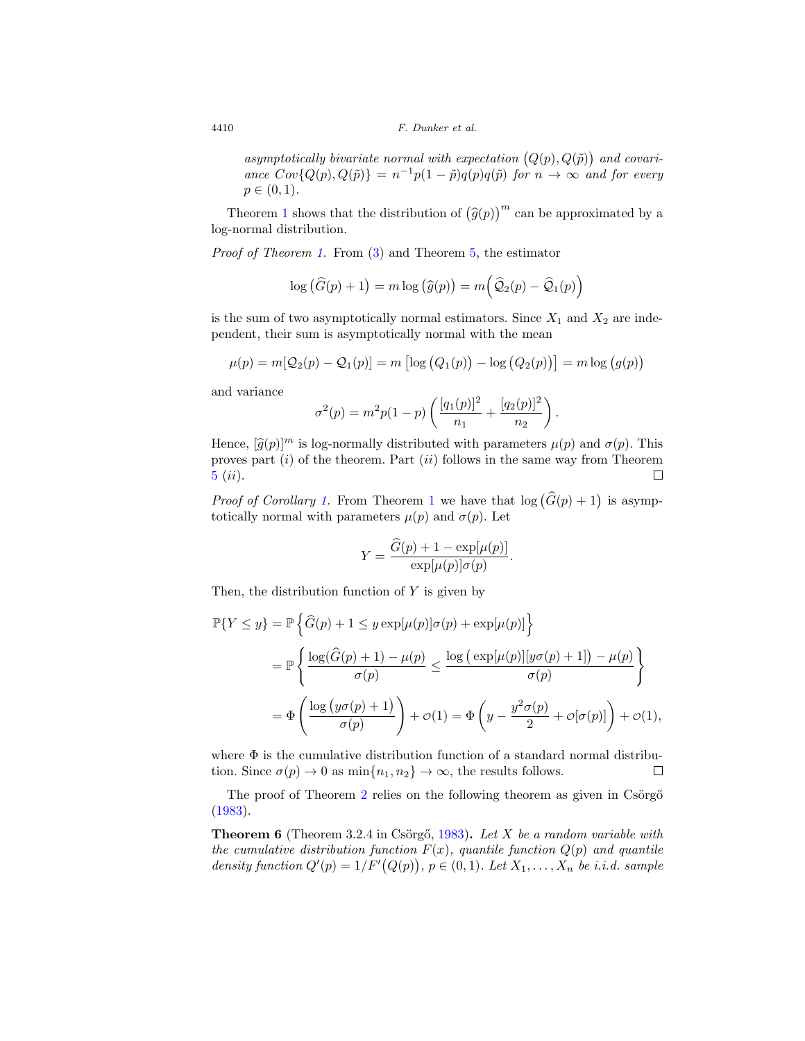asymptotically bivariate normal with expectation  $(Q(p), Q(\tilde{p}))$  and covariance  $Cov\{Q(p), Q(\tilde{p})\} = n^{-1}p(1-\tilde{p})q(p)q(\tilde{p})$  for  $n \to \infty$  and for every  $p \in (0, 1)$ .

Theorem [1](#page-5-1) shows that the distribution of  $(\hat{g}(p))^m$  can be approximated by a log-normal distribution.

Proof of Theorem [1.](#page-5-1) From [\(3\)](#page-4-2) and Theorem [5,](#page-18-1) the estimator

$$
\log\left(\widehat{G}(p)+1\right) = m \log\left(\widehat{g}(p)\right) = m\left(\widehat{Q}_2(p) - \widehat{Q}_1(p)\right)
$$

is the sum of two asymptotically normal estimators. Since  $X_1$  and  $X_2$  are independent, their sum is asymptotically normal with the mean

$$
\mu(p) = m[Q_2(p) - Q_1(p)] = m [\log (Q_1(p)) - \log (Q_2(p))] = m \log (g(p))
$$

and variance

$$
\sigma^{2}(p) = m^{2}p(1-p)\left(\frac{[q_{1}(p)]^{2}}{n_{1}} + \frac{[q_{2}(p)]^{2}}{n_{2}}\right)
$$

.

Hence,  $[\hat{g}(p)]^m$  is log-normally distributed with parameters  $\mu(p)$  and  $\sigma(p)$ . This proves part  $(i)$  of the theorem. Part  $(ii)$  follows in the same way from Theorem [5](#page-18-1) (ii).  $\Box$ 

*Proof of Corollary [1.](#page-5-2)* From Theorem [1](#page-5-1) we have that  $log(\widehat{G}(p) + 1)$  is asymptotically normal with parameters  $\mu(p)$  and  $\sigma(p)$ . Let

$$
Y = \frac{\widehat{G}(p) + 1 - \exp[\mu(p)]}{\exp[\mu(p)]\sigma(p)}.
$$

Then, the distribution function of  $Y$  is given by

$$
\mathbb{P}{Y \le y} = \mathbb{P}\left\{\widehat{G}(p) + 1 \le y \exp[\mu(p)]\sigma(p) + \exp[\mu(p)]\right\}
$$
  
= 
$$
\mathbb{P}\left\{\frac{\log(\widehat{G}(p) + 1) - \mu(p)}{\sigma(p)} \le \frac{\log(\exp[\mu(p)][y\sigma(p) + 1]) - \mu(p)}{\sigma(p)}\right\}
$$
  
= 
$$
\Phi\left(\frac{\log(y\sigma(p) + 1)}{\sigma(p)}\right) + \phi(1) = \Phi\left(y - \frac{y^2\sigma(p)}{2} + \phi[\sigma(p)]\right) + \phi(1),
$$

where  $\Phi$  is the cumulative distribution function of a standard normal distribution. Since  $\sigma(p) \to 0$  as  $\min\{n_1, n_2\} \to \infty$ , the results follows.  $\Box$ 

The proof of Theorem [2](#page-7-0) relies on the following theorem as given in Csörgő [\(1983](#page-23-10)).

<span id="page-19-0"></span>**Theorem 6** (Theorem 3.2.4 in Csörgő, [1983](#page-23-10)). Let X be a random variable with the cumulative distribution function  $F(x)$ , quantile function  $Q(p)$  and quantile density function  $Q'(p) = 1/F'(Q(p))$ ,  $p \in (0, 1)$ . Let  $X_1, \ldots, X_n$  be i.i.d. sample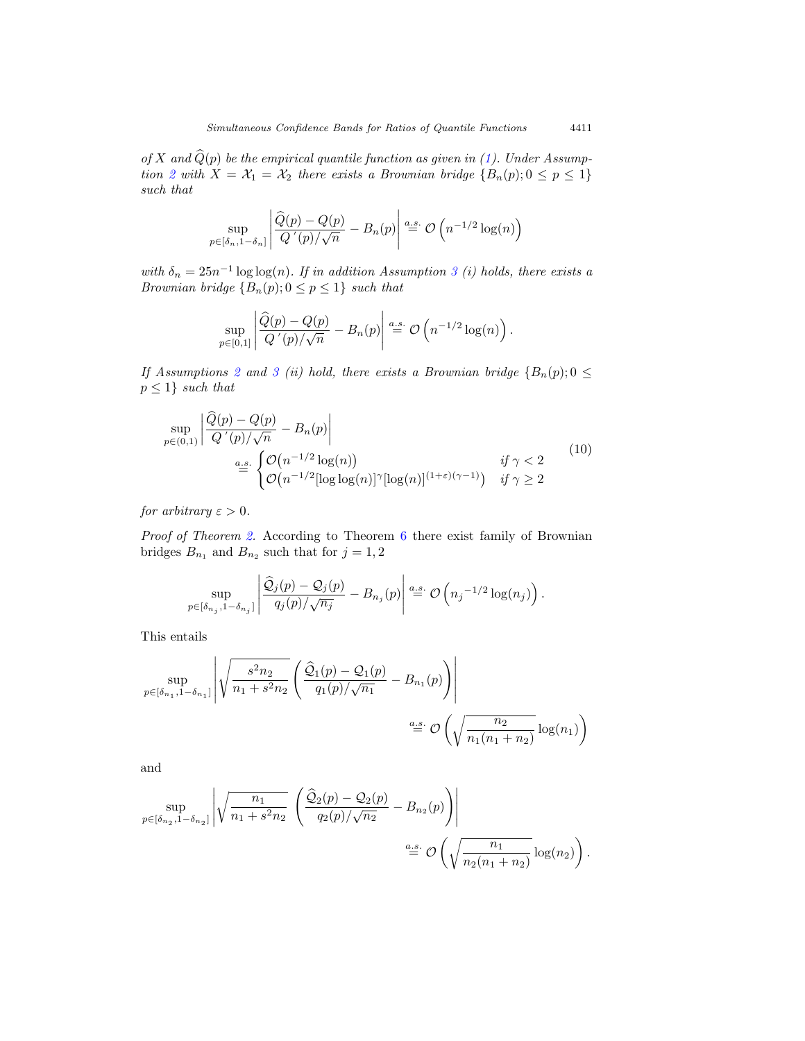of X and  $\widehat{Q}(p)$  be the empirical quantile function as given in [\(1\)](#page-4-3). Under Assump-tion [2](#page-6-0) with  $X = X_1 = X_2$  there exists a Brownian bridge  $\{B_n(p); 0 \leq p \leq 1\}$ such that

$$
\sup_{p \in [\delta_n, 1 - \delta_n]} \left| \frac{\widehat{Q}(p) - Q(p)}{Q'(p)/\sqrt{n}} - B_n(p) \right| \stackrel{a.s.}{=} \mathcal{O}\left(n^{-1/2} \log(n)\right)
$$

with  $\delta_n = 25n^{-1} \log \log(n)$ . If in addition Assumption [3](#page-6-1) (i) holds, there exists a Brownian bridge  ${B_n(p); 0 \le p \le 1}$  such that

$$
\sup_{p\in[0,1]}\left|\frac{\widehat{Q}(p)-Q(p)}{Q'(p)/\sqrt{n}}-B_n(p)\right|\stackrel{a.s.}{=}\mathcal{O}\left(n^{-1/2}\log(n)\right).
$$

If Assumptions [2](#page-6-0) and [3](#page-6-1) (ii) hold, there exists a Brownian bridge  ${B_n(p); 0 \leq \text{ }}$  $p \leq 1$ } such that

$$
\sup_{p\in(0,1)} \left| \frac{\widehat{Q}(p) - Q(p)}{Q'(p)/\sqrt{n}} - B_n(p) \right|
$$
\n
$$
\stackrel{a.s.}{=} \begin{cases} \mathcal{O}\big(n^{-1/2} \log(n)\big) & \text{if } \gamma < 2 \\ \mathcal{O}\big(n^{-1/2} [\log \log(n)]^\gamma [\log(n)]^{(1+\varepsilon)(\gamma-1)}\big) & \text{if } \gamma \ge 2 \end{cases} (10)
$$

for arbitrary  $\varepsilon > 0$ .

 $\mathcal{L}$ 

Proof of Theorem [2.](#page-7-0) According to Theorem [6](#page-19-0) there exist family of Brownian bridges  $B_{n_1}$  and  $B_{n_2}$  such that for  $j = 1, 2$ 

$$
\sup_{p \in [\delta_{n_j}, 1 - \delta_{n_j}]} \left| \frac{\widehat{\mathcal{Q}}_j(p) - \mathcal{Q}_j(p)}{q_j(p)/\sqrt{n_j}} - B_{n_j}(p) \right| \stackrel{a.s.}{=} \mathcal{O}\left(n_j^{-1/2} \log(n_j)\right).
$$

This entails

$$
\sup_{p \in [\delta_{n_1}, 1 - \delta_{n_1}]} \left| \sqrt{\frac{s^2 n_2}{n_1 + s^2 n_2}} \left( \frac{\hat{Q}_1(p) - Q_1(p)}{q_1(p)/\sqrt{n_1}} - B_{n_1}(p) \right) \right|
$$
  

$$
\stackrel{a.s.}{=} \mathcal{O}\left(\sqrt{\frac{n_2}{n_1(n_1 + n_2)}} \log(n_1)\right)
$$

and

$$
\sup_{p \in [\delta_{n_2}, 1 - \delta_{n_2}]} \left| \sqrt{\frac{n_1}{n_1 + s^2 n_2}} \left( \frac{\hat{Q}_2(p) - Q_2(p)}{q_2(p)/\sqrt{n_2}} - B_{n_2}(p) \right) \right|
$$
  

$$
\stackrel{a.s.}{=} \mathcal{O}\left(\sqrt{\frac{n_1}{n_2(n_1 + n_2)}} \log(n_2)\right).
$$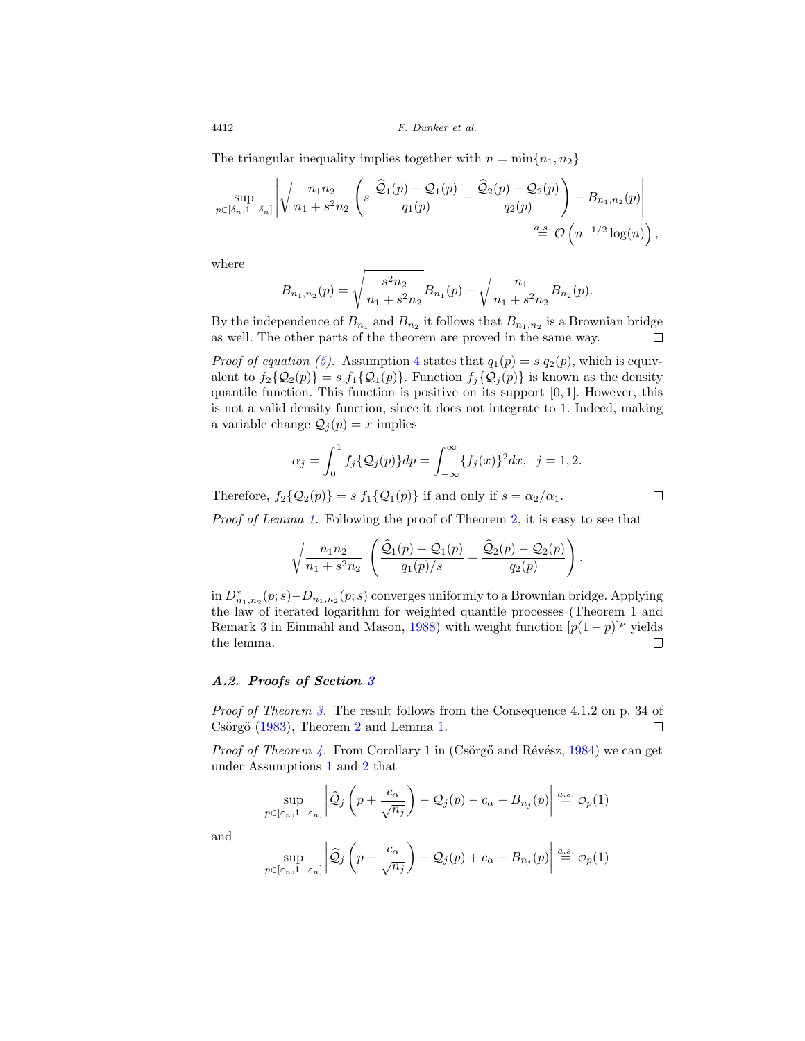The triangular inequality implies together with  $n = \min\{n_1, n_2\}$ 

$$
\sup_{p\in[\delta_n,1-\delta_n]}\left|\sqrt{\frac{n_1n_2}{n_1+s^2n_2}}\left(s\ \frac{\widehat{\mathcal{Q}}_1(p)-\mathcal{Q}_1(p)}{q_1(p)}-\frac{\widehat{\mathcal{Q}}_2(p)-\mathcal{Q}_2(p)}{q_2(p)}\right)-B_{n_1,n_2}(p)\right|_{\substack{a.s.\\ \equiv\ \mathcal{O}\left(n^{-1/2}\log(n)\right),
$$

where

$$
B_{n_1,n_2}(p) = \sqrt{\frac{s^2 n_2}{n_1 + s^2 n_2}} B_{n_1}(p) - \sqrt{\frac{n_1}{n_1 + s^2 n_2}} B_{n_2}(p).
$$

By the independence of  $B_{n_1}$  and  $B_{n_2}$  it follows that  $B_{n_1,n_2}$  is a Brownian bridge as well. The other parts of the theorem are proved in the same way.  $\Box$ 

*Proof of equation* [\(5\)](#page-8-1). Assumption [4](#page-8-0) states that  $q_1(p) = s q_2(p)$ , which is equivalent to  $f_2\{\mathcal{Q}_2(p)\}=s f_1\{\mathcal{Q}_1(p)\}\.$  Function  $f_j\{\mathcal{Q}_j(p)\}\.$  is known as the density quantile function. This function is positive on its support [0, 1]. However, this is not a valid density function, since it does not integrate to 1. Indeed, making a variable change  $\mathcal{Q}_j(p) = x$  implies

$$
\alpha_j = \int_0^1 f_j\{\mathcal{Q}_j(p)\} dp = \int_{-\infty}^\infty \{f_j(x)\}^2 dx, \ \ j = 1, 2.
$$

Therefore,  $f_2\{\mathcal{Q}_2(p)\}=s f_1\{\mathcal{Q}_1(p)\}\$ if and only if  $s=\alpha_2/\alpha_1$ .

Proof of Lemma [1.](#page-9-1) Following the proof of Theorem [2,](#page-7-0) it is easy to see that

$$
\sqrt{\frac{n_1 n_2}{n_1 + s^2 n_2}} \left( \frac{\hat{Q}_1(p) - \mathcal{Q}_1(p)}{q_1(p)/s} + \frac{\hat{Q}_2(p) - \mathcal{Q}_2(p)}{q_2(p)} \right)
$$

.

 $\Box$ 

 $\text{in } D_{n_1,n_2}^*(p; s)-D_{n_1,n_2}(p; s)$  converges uniformly to a Brownian bridge. Applying the law of iterated logarithm for weighted quantile processes (Theorem 1 and Remark 3 in Einmahl and Mason, [1988](#page-23-11)) with weight function  $[p(1-p)]^{\nu}$  yields the lemma.  $\Box$ 

# *A.2. Proofs of Section [3](#page-9-0)*

Proof of Theorem [3.](#page-10-2) The result follows from the Consequence 4.1.2 on p. 34 of Csörgő  $(1983)$ , Theorem [2](#page-7-0) and Lemma [1.](#page-9-1) 口

*Proof of Theorem [4.](#page-11-1)* From Corollary 1 in (Csörgő and Révész, [1984\)](#page-23-9) we can get under Assumptions [1](#page-5-0) and [2](#page-6-0) that

$$
\sup_{p \in [\varepsilon_n, 1 - \varepsilon_n]} \left| \widehat{\mathcal{Q}}_j \left( p + \frac{c_\alpha}{\sqrt{n_j}} \right) - \mathcal{Q}_j(p) - c_\alpha - B_{n_j}(p) \right| \stackrel{a.s.}{=} \mathcal{O}_p(1)
$$

and

$$
\sup_{p \in [\varepsilon_n, 1 - \varepsilon_n]} \left| \widehat{\mathcal{Q}}_j \left( p - \frac{c_\alpha}{\sqrt{n_j}} \right) - \mathcal{Q}_j(p) + c_\alpha - B_{n_j}(p) \right| \stackrel{a.s.}{=} \mathcal{O}_p(1)
$$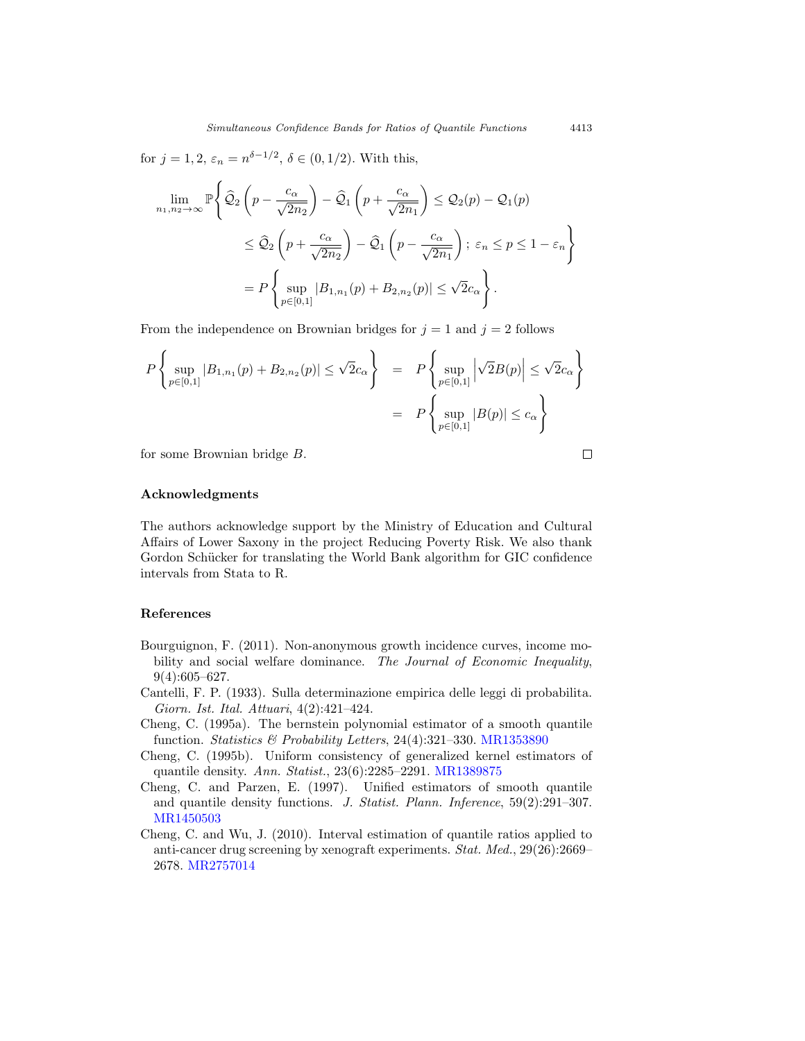for  $j = 1, 2, \varepsilon_n = n^{\delta - 1/2}, \delta \in (0, 1/2)$ . With this,

$$
\lim_{n_1, n_2 \to \infty} \mathbb{P} \Biggl\{ \widehat{\mathcal{Q}}_2 \left( p - \frac{c_{\alpha}}{\sqrt{2n_2}} \right) - \widehat{\mathcal{Q}}_1 \left( p + \frac{c_{\alpha}}{\sqrt{2n_1}} \right) \leq \mathcal{Q}_2(p) - \mathcal{Q}_1(p)
$$
\n
$$
\leq \widehat{\mathcal{Q}}_2 \left( p + \frac{c_{\alpha}}{\sqrt{2n_2}} \right) - \widehat{\mathcal{Q}}_1 \left( p - \frac{c_{\alpha}}{\sqrt{2n_1}} \right); \ \varepsilon_n \leq p \leq 1 - \varepsilon_n \Biggr\}
$$
\n
$$
= P \Biggl\{ \sup_{p \in [0,1]} |B_{1,n_1}(p) + B_{2,n_2}(p)| \leq \sqrt{2}c_{\alpha} \Biggr\}.
$$

From the independence on Brownian bridges for  $j = 1$  and  $j = 2$  follows

$$
P\left\{\sup_{p\in[0,1]}|B_{1,n_1}(p)+B_{2,n_2}(p)|\leq \sqrt{2}c_{\alpha}\right\} = P\left\{\sup_{p\in[0,1]}|\sqrt{2}B(p)|\leq \sqrt{2}c_{\alpha}\right\}
$$

$$
= P\left\{\sup_{p\in[0,1]}|B(p)|\leq c_{\alpha}\right\}
$$

for some Brownian bridge B.

$$
\Box
$$

#### **Acknowledgments**

The authors acknowledge support by the Ministry of Education and Cultural Affairs of Lower Saxony in the project Reducing Poverty Risk. We also thank Gordon Schücker for translating the World Bank algorithm for GIC confidence intervals from Stata to R.

## **References**

- <span id="page-22-4"></span>Bourguignon, F. (2011). Non-anonymous growth incidence curves, income mobility and social welfare dominance. The Journal of Economic Inequality,  $9(4):605-627.$
- <span id="page-22-3"></span>Cantelli, F. P. (1933). Sulla determinazione empirica delle leggi di probabilita. Giorn. Ist. Ital. Attuari, 4(2):421–424.
- <span id="page-22-1"></span>Cheng, C. (1995a). The bernstein polynomial estimator of a smooth quantile function. Statistics & Probability Letters, 24(4):321-330. [MR1353890](http://www.ams.org/mathscinet-getitem?mr=1353890)
- <span id="page-22-2"></span>Cheng, C. (1995b). Uniform consistency of generalized kernel estimators of quantile density. Ann. Statist., 23(6):2285–2291. [MR1389875](http://www.ams.org/mathscinet-getitem?mr=1389875)
- <span id="page-22-5"></span>Cheng, C. and Parzen, E. (1997). Unified estimators of smooth quantile and quantile density functions. J. Statist. Plann. Inference, 59(2):291–307. [MR1450503](http://www.ams.org/mathscinet-getitem?mr=1450503)
- <span id="page-22-0"></span>Cheng, C. and Wu, J. (2010). Interval estimation of quantile ratios applied to anti-cancer drug screening by xenograft experiments. Stat. Med., 29(26):2669– 2678. [MR2757014](http://www.ams.org/mathscinet-getitem?mr=2757014)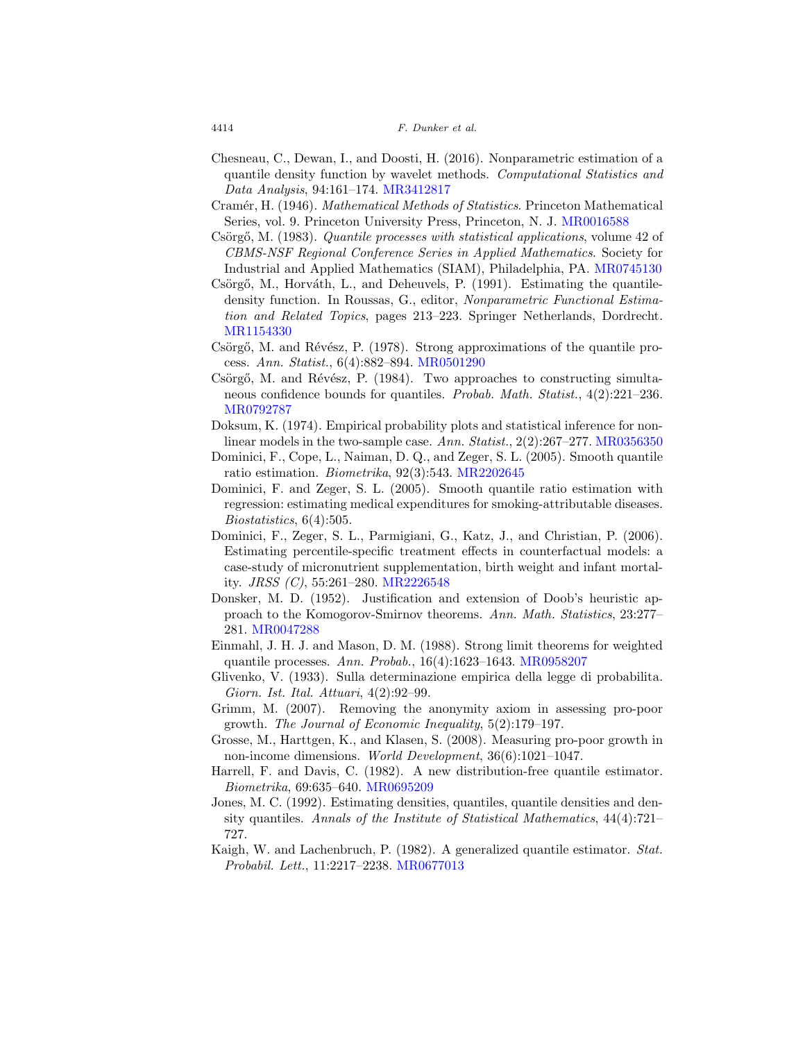- <span id="page-23-16"></span>Chesneau, C., Dewan, I., and Doosti, H. (2016). Nonparametric estimation of a quantile density function by wavelet methods. Computational Statistics and Data Analysis, 94:161–174. [MR3412817](http://www.ams.org/mathscinet-getitem?mr=3412817)
- <span id="page-23-17"></span>Cramér, H. (1946). Mathematical Methods of Statistics. Princeton Mathematical Series, vol. 9. Princeton University Press, Princeton, N. J. [MR0016588](http://www.ams.org/mathscinet-getitem?mr=0016588)
- <span id="page-23-10"></span>Csörgő, M. (1983). Quantile processes with statistical applications, volume 42 of CBMS-NSF Regional Conference Series in Applied Mathematics. Society for Industrial and Applied Mathematics (SIAM), Philadelphia, PA. [MR0745130](http://www.ams.org/mathscinet-getitem?mr=0745130)
- <span id="page-23-14"></span>Csörgő, M., Horváth, L., and Deheuvels, P.  $(1991)$ . Estimating the quantiledensity function. In Roussas, G., editor, Nonparametric Functional Estimation and Related Topics, pages 213–223. Springer Netherlands, Dordrecht. [MR1154330](http://www.ams.org/mathscinet-getitem?mr=1154330)
- <span id="page-23-8"></span>Csörgő, M. and Révész, P. (1978). Strong approximations of the quantile process. Ann. Statist., 6(4):882–894. [MR0501290](http://www.ams.org/mathscinet-getitem?mr=0501290)
- <span id="page-23-9"></span>Csörgő, M. and Révész, P. (1984). Two approaches to constructing simultaneous confidence bounds for quantiles. Probab. Math. Statist., 4(2):221–236. [MR0792787](http://www.ams.org/mathscinet-getitem?mr=0792787)
- <span id="page-23-5"></span>Doksum, K. (1974). Empirical probability plots and statistical inference for non-linear models in the two-sample case. Ann. Statist., 2(2):267–277. [MR0356350](http://www.ams.org/mathscinet-getitem?mr=0356350)
- <span id="page-23-0"></span>Dominici, F., Cope, L., Naiman, D. Q., and Zeger, S. L. (2005). Smooth quantile ratio estimation. Biometrika, 92(3):543. [MR2202645](http://www.ams.org/mathscinet-getitem?mr=2202645)
- <span id="page-23-1"></span>Dominici, F. and Zeger, S. L. (2005). Smooth quantile ratio estimation with regression: estimating medical expenditures for smoking-attributable diseases. Biostatistics, 6(4):505.
- <span id="page-23-13"></span>Dominici, F., Zeger, S. L., Parmigiani, G., Katz, J., and Christian, P. (2006). Estimating percentile-specific treatment effects in counterfactual models: a case-study of micronutrient supplementation, birth weight and infant mortality. JRSS (C), 55:261–280. [MR2226548](http://www.ams.org/mathscinet-getitem?mr=2226548)
- <span id="page-23-7"></span>Donsker, M. D. (1952). Justification and extension of Doob's heuristic approach to the Komogorov-Smirnov theorems. Ann. Math. Statistics, 23:277– 281. [MR0047288](http://www.ams.org/mathscinet-getitem?mr=0047288)
- <span id="page-23-11"></span>Einmahl, J. H. J. and Mason, D. M. (1988). Strong limit theorems for weighted quantile processes. Ann. Probab., 16(4):1623–1643. [MR0958207](http://www.ams.org/mathscinet-getitem?mr=0958207)
- <span id="page-23-6"></span>Glivenko, V. (1933). Sulla determinazione empirica della legge di probabilita. Giorn. Ist. Ital. Attuari, 4(2):92–99.
- <span id="page-23-12"></span>Grimm, M. (2007). Removing the anonymity axiom in assessing pro-poor growth. The Journal of Economic Inequality, 5(2):179–197.
- <span id="page-23-2"></span>Grosse, M., Harttgen, K., and Klasen, S. (2008). Measuring pro-poor growth in non-income dimensions. *World Development*,  $36(6):1021-1047$ .
- <span id="page-23-3"></span>Harrell, F. and Davis, C. (1982). A new distribution-free quantile estimator. Biometrika, 69:635–640. [MR0695209](http://www.ams.org/mathscinet-getitem?mr=0695209)
- <span id="page-23-15"></span>Jones, M. C. (1992). Estimating densities, quantiles, quantile densities and density quantiles. Annals of the Institute of Statistical Mathematics, 44(4):721– 727.
- <span id="page-23-4"></span>Kaigh, W. and Lachenbruch, P. (1982). A generalized quantile estimator. *Stat.* Probabil. Lett., 11:2217–2238. [MR0677013](http://www.ams.org/mathscinet-getitem?mr=0677013)